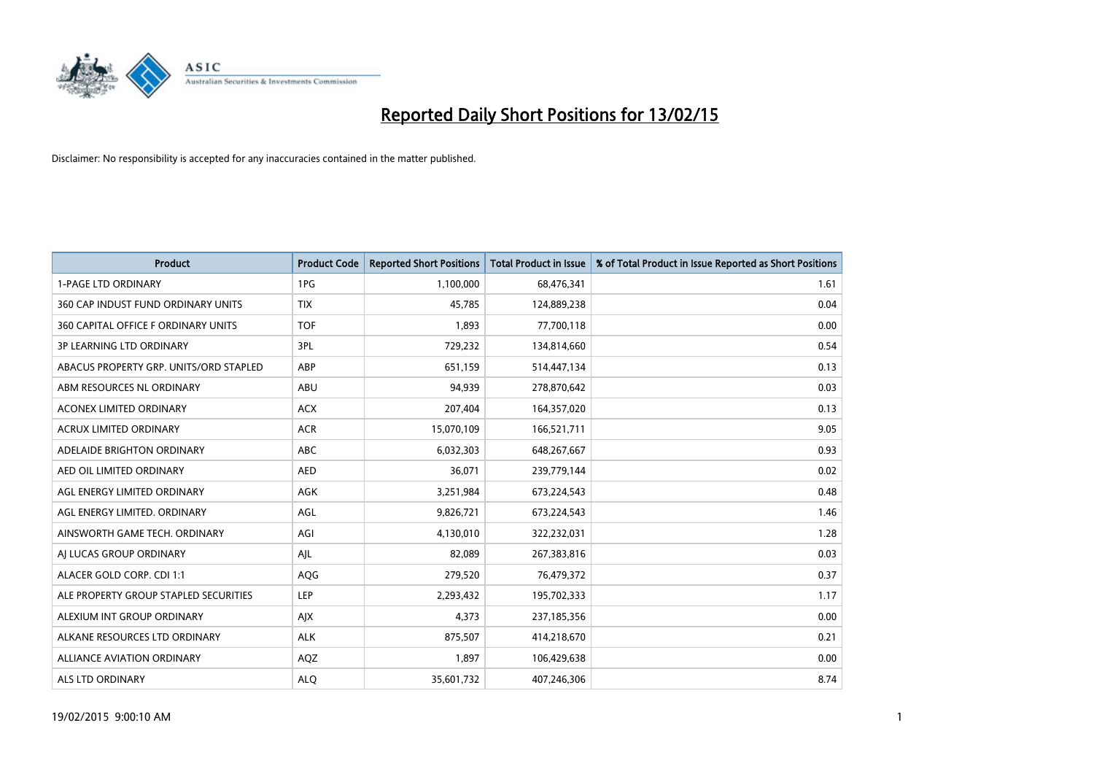

| Product                                | <b>Product Code</b> | <b>Reported Short Positions</b> | <b>Total Product in Issue</b> | % of Total Product in Issue Reported as Short Positions |
|----------------------------------------|---------------------|---------------------------------|-------------------------------|---------------------------------------------------------|
| <b>1-PAGE LTD ORDINARY</b>             | 1PG                 | 1,100,000                       | 68,476,341                    | 1.61                                                    |
| 360 CAP INDUST FUND ORDINARY UNITS     | <b>TIX</b>          | 45,785                          | 124,889,238                   | 0.04                                                    |
| 360 CAPITAL OFFICE F ORDINARY UNITS    | <b>TOF</b>          | 1,893                           | 77,700,118                    | 0.00                                                    |
| <b>3P LEARNING LTD ORDINARY</b>        | 3PL                 | 729,232                         | 134,814,660                   | 0.54                                                    |
| ABACUS PROPERTY GRP. UNITS/ORD STAPLED | ABP                 | 651,159                         | 514,447,134                   | 0.13                                                    |
| ABM RESOURCES NL ORDINARY              | <b>ABU</b>          | 94,939                          | 278,870,642                   | 0.03                                                    |
| <b>ACONEX LIMITED ORDINARY</b>         | <b>ACX</b>          | 207,404                         | 164,357,020                   | 0.13                                                    |
| ACRUX LIMITED ORDINARY                 | <b>ACR</b>          | 15,070,109                      | 166,521,711                   | 9.05                                                    |
| ADELAIDE BRIGHTON ORDINARY             | <b>ABC</b>          | 6,032,303                       | 648,267,667                   | 0.93                                                    |
| AED OIL LIMITED ORDINARY               | <b>AED</b>          | 36,071                          | 239,779,144                   | 0.02                                                    |
| AGL ENERGY LIMITED ORDINARY            | AGK                 | 3,251,984                       | 673,224,543                   | 0.48                                                    |
| AGL ENERGY LIMITED. ORDINARY           | AGL                 | 9,826,721                       | 673,224,543                   | 1.46                                                    |
| AINSWORTH GAME TECH. ORDINARY          | AGI                 | 4,130,010                       | 322,232,031                   | 1.28                                                    |
| AI LUCAS GROUP ORDINARY                | AJL                 | 82,089                          | 267,383,816                   | 0.03                                                    |
| ALACER GOLD CORP. CDI 1:1              | AQG                 | 279,520                         | 76,479,372                    | 0.37                                                    |
| ALE PROPERTY GROUP STAPLED SECURITIES  | LEP                 | 2,293,432                       | 195,702,333                   | 1.17                                                    |
| ALEXIUM INT GROUP ORDINARY             | AJX                 | 4,373                           | 237,185,356                   | 0.00                                                    |
| ALKANE RESOURCES LTD ORDINARY          | <b>ALK</b>          | 875,507                         | 414,218,670                   | 0.21                                                    |
| ALLIANCE AVIATION ORDINARY             | AQZ                 | 1,897                           | 106,429,638                   | 0.00                                                    |
| ALS LTD ORDINARY                       | <b>ALO</b>          | 35,601,732                      | 407,246,306                   | 8.74                                                    |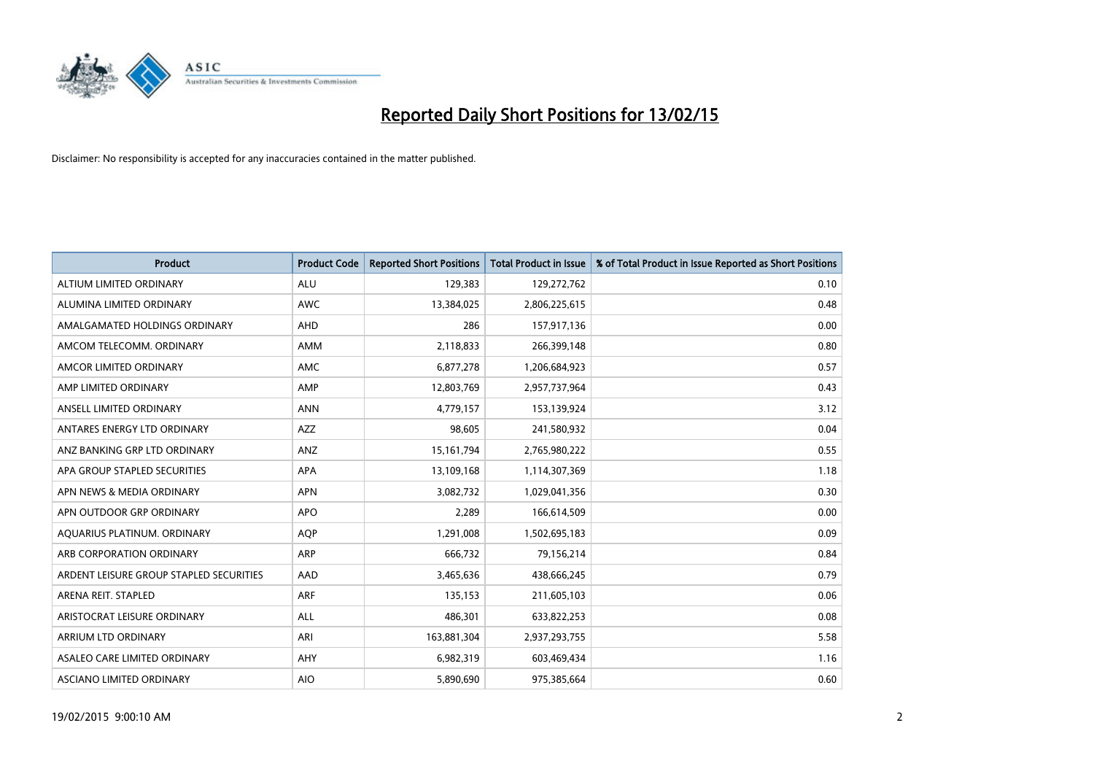

| <b>Product</b>                          | <b>Product Code</b> | <b>Reported Short Positions</b> | <b>Total Product in Issue</b> | % of Total Product in Issue Reported as Short Positions |
|-----------------------------------------|---------------------|---------------------------------|-------------------------------|---------------------------------------------------------|
| ALTIUM LIMITED ORDINARY                 | <b>ALU</b>          | 129,383                         | 129,272,762                   | 0.10                                                    |
| ALUMINA LIMITED ORDINARY                | AWC                 | 13,384,025                      | 2,806,225,615                 | 0.48                                                    |
| AMALGAMATED HOLDINGS ORDINARY           | AHD                 | 286                             | 157,917,136                   | 0.00                                                    |
| AMCOM TELECOMM. ORDINARY                | AMM                 | 2,118,833                       | 266,399,148                   | 0.80                                                    |
| AMCOR LIMITED ORDINARY                  | AMC                 | 6,877,278                       | 1,206,684,923                 | 0.57                                                    |
| AMP LIMITED ORDINARY                    | AMP                 | 12,803,769                      | 2,957,737,964                 | 0.43                                                    |
| ANSELL LIMITED ORDINARY                 | <b>ANN</b>          | 4,779,157                       | 153,139,924                   | 3.12                                                    |
| ANTARES ENERGY LTD ORDINARY             | AZZ                 | 98,605                          | 241,580,932                   | 0.04                                                    |
| ANZ BANKING GRP LTD ORDINARY            | ANZ                 | 15, 161, 794                    | 2,765,980,222                 | 0.55                                                    |
| APA GROUP STAPLED SECURITIES            | <b>APA</b>          | 13,109,168                      | 1,114,307,369                 | 1.18                                                    |
| APN NEWS & MEDIA ORDINARY               | <b>APN</b>          | 3,082,732                       | 1,029,041,356                 | 0.30                                                    |
| APN OUTDOOR GRP ORDINARY                | <b>APO</b>          | 2,289                           | 166,614,509                   | 0.00                                                    |
| AQUARIUS PLATINUM. ORDINARY             | <b>AOP</b>          | 1,291,008                       | 1,502,695,183                 | 0.09                                                    |
| ARB CORPORATION ORDINARY                | ARP                 | 666,732                         | 79,156,214                    | 0.84                                                    |
| ARDENT LEISURE GROUP STAPLED SECURITIES | AAD                 | 3,465,636                       | 438,666,245                   | 0.79                                                    |
| ARENA REIT. STAPLED                     | <b>ARF</b>          | 135,153                         | 211,605,103                   | 0.06                                                    |
| ARISTOCRAT LEISURE ORDINARY             | ALL                 | 486,301                         | 633,822,253                   | 0.08                                                    |
| ARRIUM LTD ORDINARY                     | ARI                 | 163,881,304                     | 2,937,293,755                 | 5.58                                                    |
| ASALEO CARE LIMITED ORDINARY            | AHY                 | 6,982,319                       | 603,469,434                   | 1.16                                                    |
| ASCIANO LIMITED ORDINARY                | <b>AIO</b>          | 5,890,690                       | 975,385,664                   | 0.60                                                    |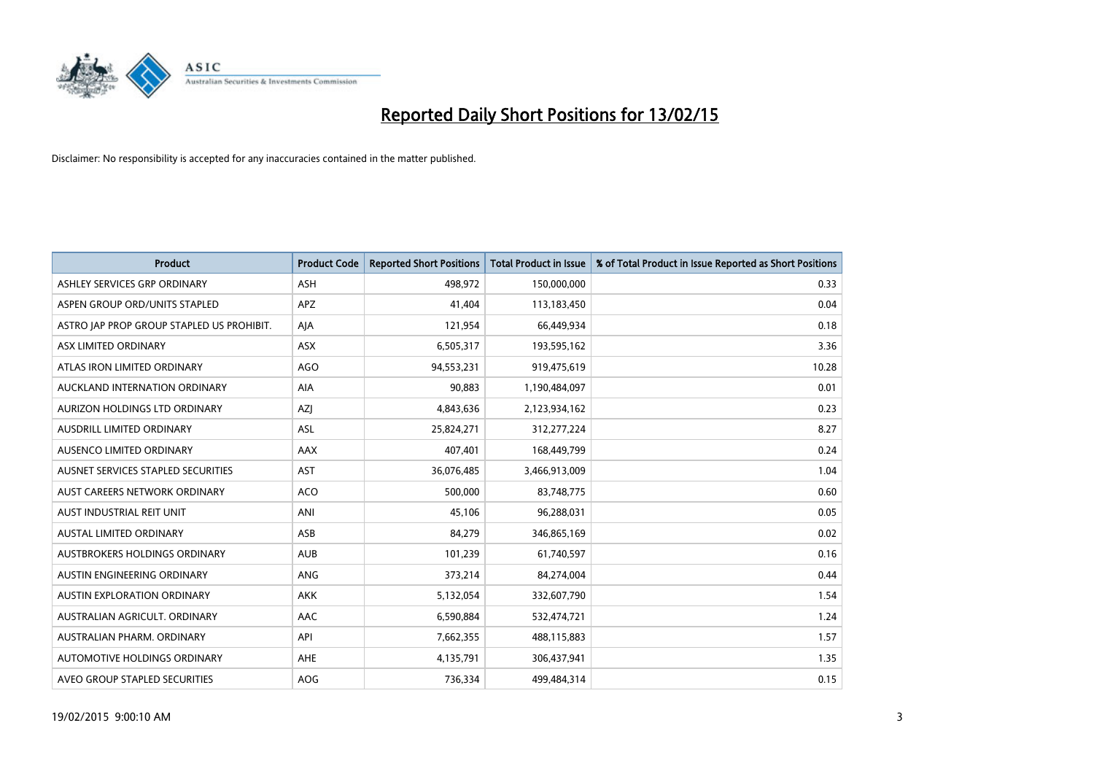

| <b>Product</b>                            | <b>Product Code</b> | <b>Reported Short Positions</b> | <b>Total Product in Issue</b> | % of Total Product in Issue Reported as Short Positions |
|-------------------------------------------|---------------------|---------------------------------|-------------------------------|---------------------------------------------------------|
| ASHLEY SERVICES GRP ORDINARY              | ASH                 | 498,972                         | 150,000,000                   | 0.33                                                    |
| ASPEN GROUP ORD/UNITS STAPLED             | APZ                 | 41,404                          | 113,183,450                   | 0.04                                                    |
| ASTRO JAP PROP GROUP STAPLED US PROHIBIT. | AJA                 | 121,954                         | 66,449,934                    | 0.18                                                    |
| ASX LIMITED ORDINARY                      | <b>ASX</b>          | 6,505,317                       | 193,595,162                   | 3.36                                                    |
| ATLAS IRON LIMITED ORDINARY               | <b>AGO</b>          | 94,553,231                      | 919,475,619                   | 10.28                                                   |
| AUCKLAND INTERNATION ORDINARY             | AIA                 | 90,883                          | 1,190,484,097                 | 0.01                                                    |
| AURIZON HOLDINGS LTD ORDINARY             | AZJ                 | 4,843,636                       | 2,123,934,162                 | 0.23                                                    |
| AUSDRILL LIMITED ORDINARY                 | ASL                 | 25,824,271                      | 312,277,224                   | 8.27                                                    |
| AUSENCO LIMITED ORDINARY                  | AAX                 | 407,401                         | 168,449,799                   | 0.24                                                    |
| AUSNET SERVICES STAPLED SECURITIES        | <b>AST</b>          | 36,076,485                      | 3,466,913,009                 | 1.04                                                    |
| AUST CAREERS NETWORK ORDINARY             | ACO                 | 500,000                         | 83,748,775                    | 0.60                                                    |
| AUST INDUSTRIAL REIT UNIT                 | ANI                 | 45,106                          | 96,288,031                    | 0.05                                                    |
| AUSTAL LIMITED ORDINARY                   | ASB                 | 84,279                          | 346,865,169                   | 0.02                                                    |
| AUSTBROKERS HOLDINGS ORDINARY             | <b>AUB</b>          | 101,239                         | 61,740,597                    | 0.16                                                    |
| AUSTIN ENGINEERING ORDINARY               | ANG                 | 373,214                         | 84,274,004                    | 0.44                                                    |
| <b>AUSTIN EXPLORATION ORDINARY</b>        | <b>AKK</b>          | 5,132,054                       | 332,607,790                   | 1.54                                                    |
| AUSTRALIAN AGRICULT, ORDINARY             | AAC                 | 6,590,884                       | 532,474,721                   | 1.24                                                    |
| AUSTRALIAN PHARM, ORDINARY                | API                 | 7,662,355                       | 488,115,883                   | 1.57                                                    |
| AUTOMOTIVE HOLDINGS ORDINARY              | AHE                 | 4,135,791                       | 306,437,941                   | 1.35                                                    |
| AVEO GROUP STAPLED SECURITIES             | <b>AOG</b>          | 736,334                         | 499,484,314                   | 0.15                                                    |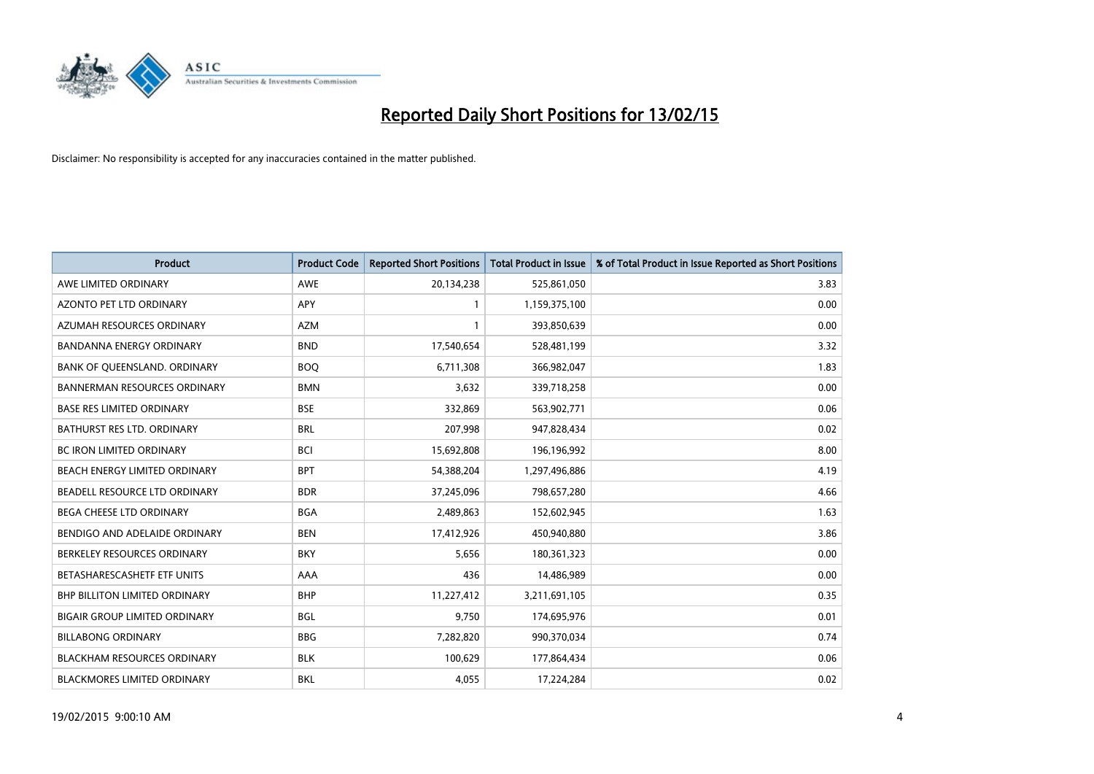

| <b>Product</b>                       | <b>Product Code</b> | <b>Reported Short Positions</b> | <b>Total Product in Issue</b> | % of Total Product in Issue Reported as Short Positions |
|--------------------------------------|---------------------|---------------------------------|-------------------------------|---------------------------------------------------------|
| AWE LIMITED ORDINARY                 | AWE                 | 20,134,238                      | 525,861,050                   | 3.83                                                    |
| AZONTO PET LTD ORDINARY              | APY                 | 1                               | 1,159,375,100                 | 0.00                                                    |
| AZUMAH RESOURCES ORDINARY            | AZM                 | $\mathbf{1}$                    | 393,850,639                   | 0.00                                                    |
| BANDANNA ENERGY ORDINARY             | <b>BND</b>          | 17,540,654                      | 528,481,199                   | 3.32                                                    |
| BANK OF QUEENSLAND. ORDINARY         | <b>BOQ</b>          | 6,711,308                       | 366,982,047                   | 1.83                                                    |
| <b>BANNERMAN RESOURCES ORDINARY</b>  | <b>BMN</b>          | 3,632                           | 339,718,258                   | 0.00                                                    |
| <b>BASE RES LIMITED ORDINARY</b>     | <b>BSE</b>          | 332,869                         | 563,902,771                   | 0.06                                                    |
| BATHURST RES LTD. ORDINARY           | <b>BRL</b>          | 207,998                         | 947,828,434                   | 0.02                                                    |
| <b>BC IRON LIMITED ORDINARY</b>      | <b>BCI</b>          | 15,692,808                      | 196,196,992                   | 8.00                                                    |
| BEACH ENERGY LIMITED ORDINARY        | <b>BPT</b>          | 54,388,204                      | 1,297,496,886                 | 4.19                                                    |
| BEADELL RESOURCE LTD ORDINARY        | <b>BDR</b>          | 37,245,096                      | 798,657,280                   | 4.66                                                    |
| <b>BEGA CHEESE LTD ORDINARY</b>      | BGA                 | 2,489,863                       | 152,602,945                   | 1.63                                                    |
| BENDIGO AND ADELAIDE ORDINARY        | <b>BEN</b>          | 17,412,926                      | 450,940,880                   | 3.86                                                    |
| BERKELEY RESOURCES ORDINARY          | <b>BKY</b>          | 5,656                           | 180,361,323                   | 0.00                                                    |
| BETASHARESCASHETF ETF UNITS          | AAA                 | 436                             | 14,486,989                    | 0.00                                                    |
| <b>BHP BILLITON LIMITED ORDINARY</b> | <b>BHP</b>          | 11,227,412                      | 3,211,691,105                 | 0.35                                                    |
| <b>BIGAIR GROUP LIMITED ORDINARY</b> | <b>BGL</b>          | 9,750                           | 174,695,976                   | 0.01                                                    |
| <b>BILLABONG ORDINARY</b>            | <b>BBG</b>          | 7,282,820                       | 990,370,034                   | 0.74                                                    |
| <b>BLACKHAM RESOURCES ORDINARY</b>   | <b>BLK</b>          | 100,629                         | 177,864,434                   | 0.06                                                    |
| <b>BLACKMORES LIMITED ORDINARY</b>   | <b>BKL</b>          | 4,055                           | 17,224,284                    | 0.02                                                    |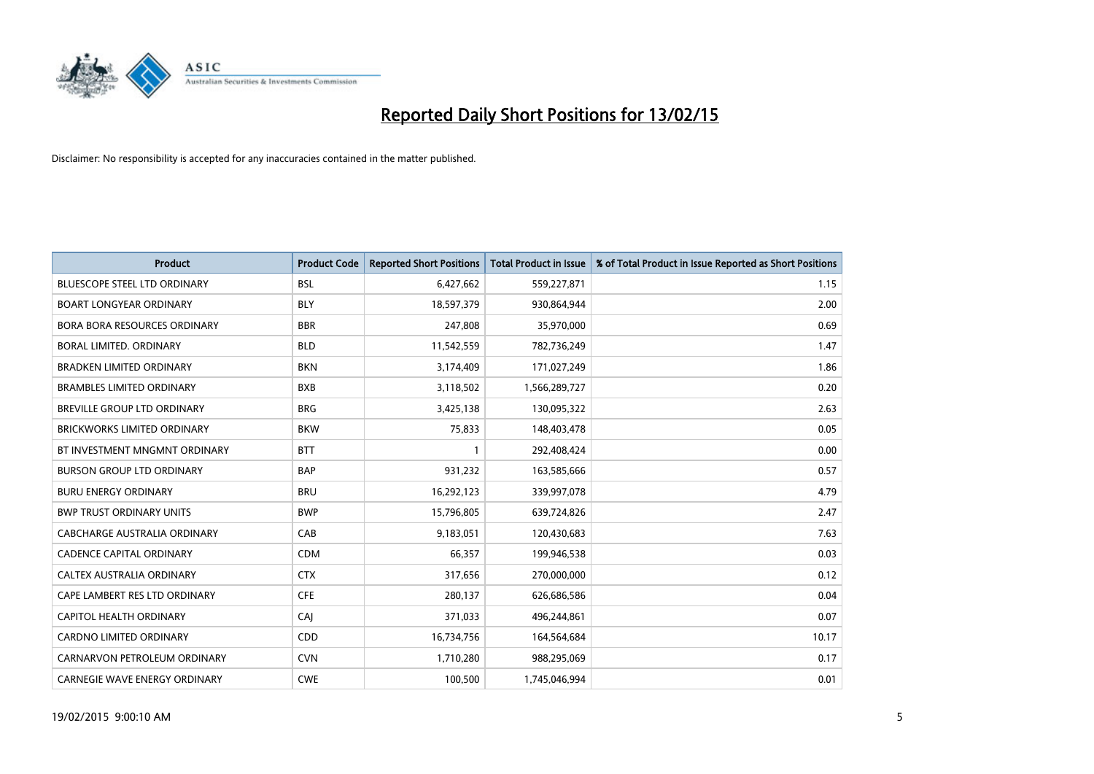

| <b>Product</b>                      | <b>Product Code</b> | <b>Reported Short Positions</b> | <b>Total Product in Issue</b> | % of Total Product in Issue Reported as Short Positions |
|-------------------------------------|---------------------|---------------------------------|-------------------------------|---------------------------------------------------------|
| <b>BLUESCOPE STEEL LTD ORDINARY</b> | <b>BSL</b>          | 6,427,662                       | 559,227,871                   | 1.15                                                    |
| <b>BOART LONGYEAR ORDINARY</b>      | <b>BLY</b>          | 18,597,379                      | 930,864,944                   | 2.00                                                    |
| <b>BORA BORA RESOURCES ORDINARY</b> | <b>BBR</b>          | 247,808                         | 35,970,000                    | 0.69                                                    |
| BORAL LIMITED. ORDINARY             | <b>BLD</b>          | 11,542,559                      | 782,736,249                   | 1.47                                                    |
| <b>BRADKEN LIMITED ORDINARY</b>     | <b>BKN</b>          | 3,174,409                       | 171,027,249                   | 1.86                                                    |
| <b>BRAMBLES LIMITED ORDINARY</b>    | <b>BXB</b>          | 3,118,502                       | 1,566,289,727                 | 0.20                                                    |
| BREVILLE GROUP LTD ORDINARY         | <b>BRG</b>          | 3,425,138                       | 130,095,322                   | 2.63                                                    |
| <b>BRICKWORKS LIMITED ORDINARY</b>  | <b>BKW</b>          | 75,833                          | 148,403,478                   | 0.05                                                    |
| BT INVESTMENT MNGMNT ORDINARY       | <b>BTT</b>          | $\mathbf{1}$                    | 292,408,424                   | 0.00                                                    |
| <b>BURSON GROUP LTD ORDINARY</b>    | <b>BAP</b>          | 931,232                         | 163,585,666                   | 0.57                                                    |
| <b>BURU ENERGY ORDINARY</b>         | <b>BRU</b>          | 16,292,123                      | 339,997,078                   | 4.79                                                    |
| <b>BWP TRUST ORDINARY UNITS</b>     | <b>BWP</b>          | 15,796,805                      | 639,724,826                   | 2.47                                                    |
| CABCHARGE AUSTRALIA ORDINARY        | CAB                 | 9,183,051                       | 120,430,683                   | 7.63                                                    |
| <b>CADENCE CAPITAL ORDINARY</b>     | <b>CDM</b>          | 66,357                          | 199,946,538                   | 0.03                                                    |
| CALTEX AUSTRALIA ORDINARY           | <b>CTX</b>          | 317,656                         | 270,000,000                   | 0.12                                                    |
| CAPE LAMBERT RES LTD ORDINARY       | <b>CFE</b>          | 280,137                         | 626,686,586                   | 0.04                                                    |
| CAPITOL HEALTH ORDINARY             | CAI                 | 371,033                         | 496,244,861                   | 0.07                                                    |
| CARDNO LIMITED ORDINARY             | CDD                 | 16,734,756                      | 164,564,684                   | 10.17                                                   |
| CARNARVON PETROLEUM ORDINARY        | <b>CVN</b>          | 1,710,280                       | 988,295,069                   | 0.17                                                    |
| CARNEGIE WAVE ENERGY ORDINARY       | <b>CWE</b>          | 100,500                         | 1,745,046,994                 | 0.01                                                    |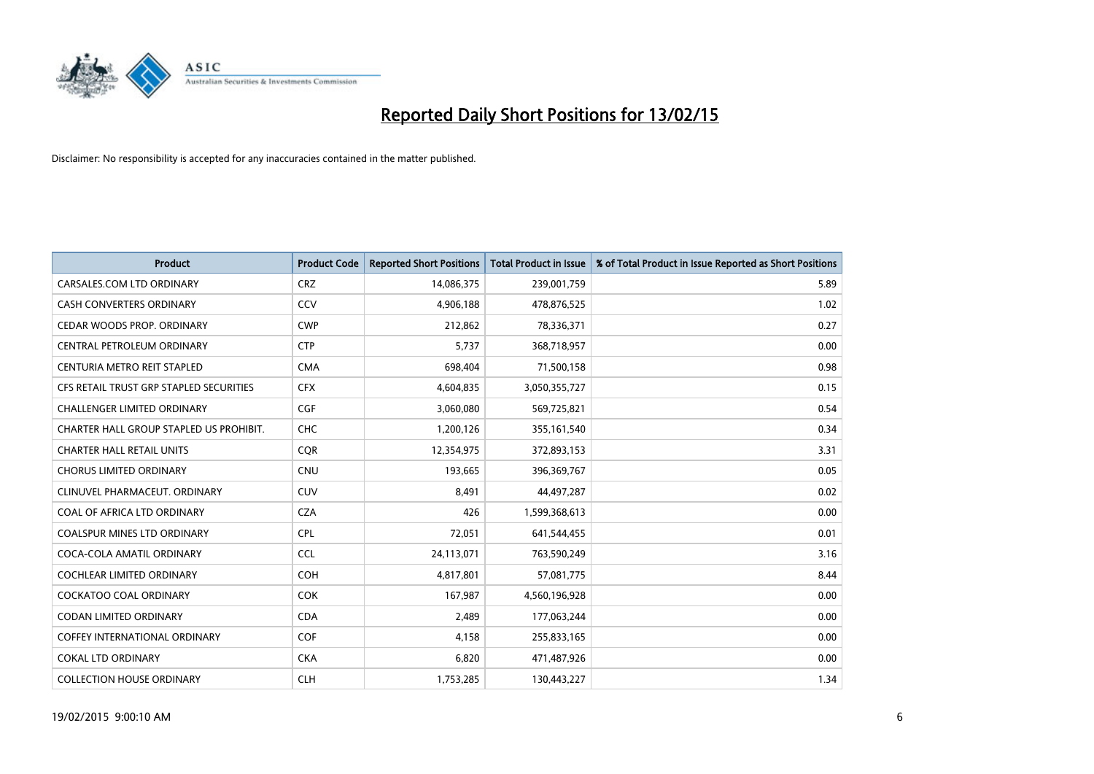

| <b>Product</b>                          | <b>Product Code</b> | <b>Reported Short Positions</b> | <b>Total Product in Issue</b> | % of Total Product in Issue Reported as Short Positions |
|-----------------------------------------|---------------------|---------------------------------|-------------------------------|---------------------------------------------------------|
| CARSALES.COM LTD ORDINARY               | <b>CRZ</b>          | 14,086,375                      | 239,001,759                   | 5.89                                                    |
| CASH CONVERTERS ORDINARY                | CCV                 | 4,906,188                       | 478,876,525                   | 1.02                                                    |
| CEDAR WOODS PROP. ORDINARY              | <b>CWP</b>          | 212,862                         | 78,336,371                    | 0.27                                                    |
| CENTRAL PETROLEUM ORDINARY              | <b>CTP</b>          | 5,737                           | 368,718,957                   | 0.00                                                    |
| CENTURIA METRO REIT STAPLED             | <b>CMA</b>          | 698,404                         | 71,500,158                    | 0.98                                                    |
| CFS RETAIL TRUST GRP STAPLED SECURITIES | <b>CFX</b>          | 4,604,835                       | 3,050,355,727                 | 0.15                                                    |
| <b>CHALLENGER LIMITED ORDINARY</b>      | <b>CGF</b>          | 3,060,080                       | 569,725,821                   | 0.54                                                    |
| CHARTER HALL GROUP STAPLED US PROHIBIT. | <b>CHC</b>          | 1,200,126                       | 355,161,540                   | 0.34                                                    |
| <b>CHARTER HALL RETAIL UNITS</b>        | <b>COR</b>          | 12,354,975                      | 372,893,153                   | 3.31                                                    |
| <b>CHORUS LIMITED ORDINARY</b>          | <b>CNU</b>          | 193,665                         | 396,369,767                   | 0.05                                                    |
| CLINUVEL PHARMACEUT. ORDINARY           | <b>CUV</b>          | 8,491                           | 44,497,287                    | 0.02                                                    |
| COAL OF AFRICA LTD ORDINARY             | <b>CZA</b>          | 426                             | 1,599,368,613                 | 0.00                                                    |
| COALSPUR MINES LTD ORDINARY             | <b>CPL</b>          | 72,051                          | 641,544,455                   | 0.01                                                    |
| COCA-COLA AMATIL ORDINARY               | <b>CCL</b>          | 24,113,071                      | 763,590,249                   | 3.16                                                    |
| <b>COCHLEAR LIMITED ORDINARY</b>        | <b>COH</b>          | 4,817,801                       | 57,081,775                    | 8.44                                                    |
| <b>COCKATOO COAL ORDINARY</b>           | <b>COK</b>          | 167,987                         | 4,560,196,928                 | 0.00                                                    |
| <b>CODAN LIMITED ORDINARY</b>           | <b>CDA</b>          | 2,489                           | 177,063,244                   | 0.00                                                    |
| <b>COFFEY INTERNATIONAL ORDINARY</b>    | <b>COF</b>          | 4,158                           | 255,833,165                   | 0.00                                                    |
| <b>COKAL LTD ORDINARY</b>               | <b>CKA</b>          | 6,820                           | 471,487,926                   | 0.00                                                    |
| <b>COLLECTION HOUSE ORDINARY</b>        | <b>CLH</b>          | 1,753,285                       | 130,443,227                   | 1.34                                                    |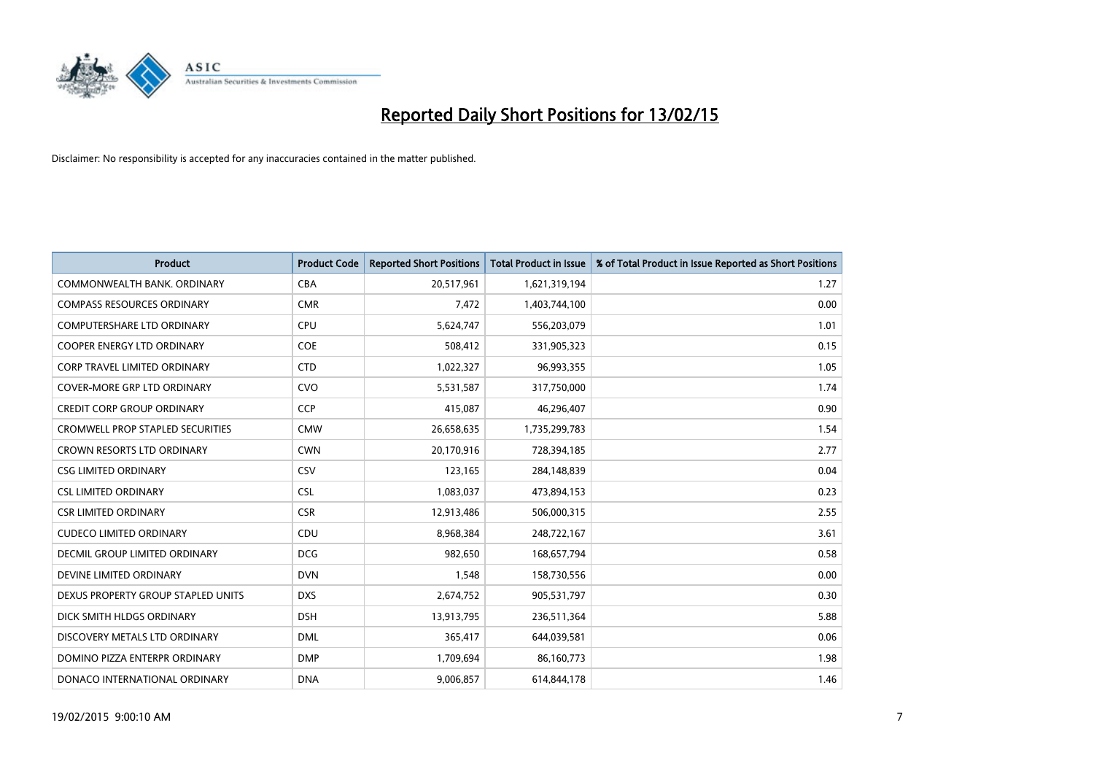

| <b>Product</b>                          | <b>Product Code</b> | <b>Reported Short Positions</b> | <b>Total Product in Issue</b> | % of Total Product in Issue Reported as Short Positions |
|-----------------------------------------|---------------------|---------------------------------|-------------------------------|---------------------------------------------------------|
| COMMONWEALTH BANK, ORDINARY             | <b>CBA</b>          | 20,517,961                      | 1,621,319,194                 | 1.27                                                    |
| <b>COMPASS RESOURCES ORDINARY</b>       | <b>CMR</b>          | 7,472                           | 1,403,744,100                 | 0.00                                                    |
| <b>COMPUTERSHARE LTD ORDINARY</b>       | <b>CPU</b>          | 5,624,747                       | 556,203,079                   | 1.01                                                    |
| <b>COOPER ENERGY LTD ORDINARY</b>       | <b>COE</b>          | 508,412                         | 331,905,323                   | 0.15                                                    |
| CORP TRAVEL LIMITED ORDINARY            | <b>CTD</b>          | 1,022,327                       | 96,993,355                    | 1.05                                                    |
| <b>COVER-MORE GRP LTD ORDINARY</b>      | CVO                 | 5,531,587                       | 317,750,000                   | 1.74                                                    |
| <b>CREDIT CORP GROUP ORDINARY</b>       | <b>CCP</b>          | 415,087                         | 46,296,407                    | 0.90                                                    |
| <b>CROMWELL PROP STAPLED SECURITIES</b> | <b>CMW</b>          | 26,658,635                      | 1,735,299,783                 | 1.54                                                    |
| <b>CROWN RESORTS LTD ORDINARY</b>       | <b>CWN</b>          | 20,170,916                      | 728,394,185                   | 2.77                                                    |
| <b>CSG LIMITED ORDINARY</b>             | CSV                 | 123,165                         | 284,148,839                   | 0.04                                                    |
| <b>CSL LIMITED ORDINARY</b>             | <b>CSL</b>          | 1,083,037                       | 473,894,153                   | 0.23                                                    |
| <b>CSR LIMITED ORDINARY</b>             | <b>CSR</b>          | 12,913,486                      | 506,000,315                   | 2.55                                                    |
| <b>CUDECO LIMITED ORDINARY</b>          | CDU                 | 8,968,384                       | 248,722,167                   | 3.61                                                    |
| DECMIL GROUP LIMITED ORDINARY           | <b>DCG</b>          | 982,650                         | 168,657,794                   | 0.58                                                    |
| DEVINE LIMITED ORDINARY                 | <b>DVN</b>          | 1,548                           | 158,730,556                   | 0.00                                                    |
| DEXUS PROPERTY GROUP STAPLED UNITS      | <b>DXS</b>          | 2,674,752                       | 905,531,797                   | 0.30                                                    |
| DICK SMITH HLDGS ORDINARY               | <b>DSH</b>          | 13,913,795                      | 236,511,364                   | 5.88                                                    |
| DISCOVERY METALS LTD ORDINARY           | <b>DML</b>          | 365,417                         | 644,039,581                   | 0.06                                                    |
| DOMINO PIZZA ENTERPR ORDINARY           | <b>DMP</b>          | 1,709,694                       | 86,160,773                    | 1.98                                                    |
| DONACO INTERNATIONAL ORDINARY           | <b>DNA</b>          | 9,006,857                       | 614,844,178                   | 1.46                                                    |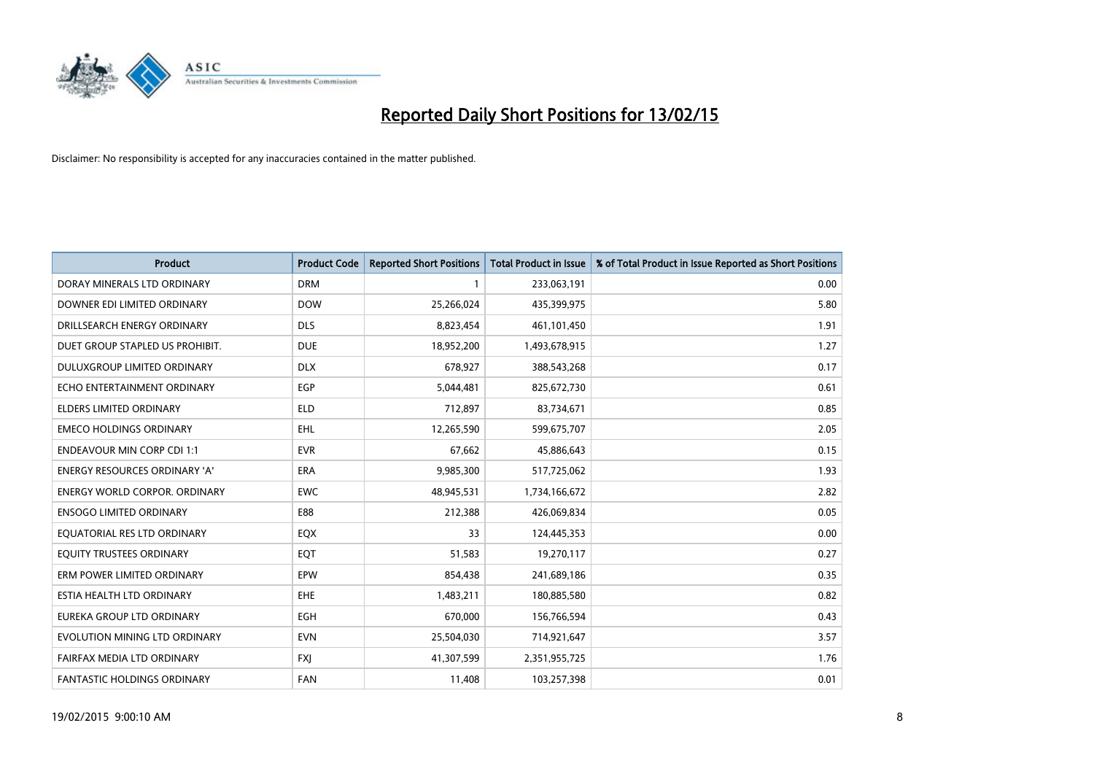

| <b>Product</b>                       | <b>Product Code</b> | <b>Reported Short Positions</b> | <b>Total Product in Issue</b> | % of Total Product in Issue Reported as Short Positions |
|--------------------------------------|---------------------|---------------------------------|-------------------------------|---------------------------------------------------------|
| DORAY MINERALS LTD ORDINARY          | <b>DRM</b>          | $\mathbf{1}$                    | 233,063,191                   | 0.00                                                    |
| DOWNER EDI LIMITED ORDINARY          | <b>DOW</b>          | 25,266,024                      | 435,399,975                   | 5.80                                                    |
| DRILLSEARCH ENERGY ORDINARY          | <b>DLS</b>          | 8,823,454                       | 461,101,450                   | 1.91                                                    |
| DUET GROUP STAPLED US PROHIBIT.      | <b>DUE</b>          | 18,952,200                      | 1,493,678,915                 | 1.27                                                    |
| <b>DULUXGROUP LIMITED ORDINARY</b>   | <b>DLX</b>          | 678,927                         | 388,543,268                   | 0.17                                                    |
| ECHO ENTERTAINMENT ORDINARY          | EGP                 | 5,044,481                       | 825,672,730                   | 0.61                                                    |
| <b>ELDERS LIMITED ORDINARY</b>       | <b>ELD</b>          | 712,897                         | 83,734,671                    | 0.85                                                    |
| <b>EMECO HOLDINGS ORDINARY</b>       | <b>EHL</b>          | 12,265,590                      | 599,675,707                   | 2.05                                                    |
| <b>ENDEAVOUR MIN CORP CDI 1:1</b>    | <b>EVR</b>          | 67,662                          | 45,886,643                    | 0.15                                                    |
| <b>ENERGY RESOURCES ORDINARY 'A'</b> | <b>ERA</b>          | 9,985,300                       | 517,725,062                   | 1.93                                                    |
| <b>ENERGY WORLD CORPOR. ORDINARY</b> | <b>EWC</b>          | 48,945,531                      | 1,734,166,672                 | 2.82                                                    |
| <b>ENSOGO LIMITED ORDINARY</b>       | E88                 | 212,388                         | 426,069,834                   | 0.05                                                    |
| EQUATORIAL RES LTD ORDINARY          | EQX                 | 33                              | 124,445,353                   | 0.00                                                    |
| EQUITY TRUSTEES ORDINARY             | EQT                 | 51,583                          | 19,270,117                    | 0.27                                                    |
| ERM POWER LIMITED ORDINARY           | EPW                 | 854,438                         | 241,689,186                   | 0.35                                                    |
| ESTIA HEALTH LTD ORDINARY            | <b>EHE</b>          | 1,483,211                       | 180,885,580                   | 0.82                                                    |
| EUREKA GROUP LTD ORDINARY            | EGH                 | 670,000                         | 156,766,594                   | 0.43                                                    |
| EVOLUTION MINING LTD ORDINARY        | <b>EVN</b>          | 25,504,030                      | 714,921,647                   | 3.57                                                    |
| FAIRFAX MEDIA LTD ORDINARY           | <b>FXI</b>          | 41,307,599                      | 2,351,955,725                 | 1.76                                                    |
| FANTASTIC HOLDINGS ORDINARY          | <b>FAN</b>          | 11,408                          | 103,257,398                   | 0.01                                                    |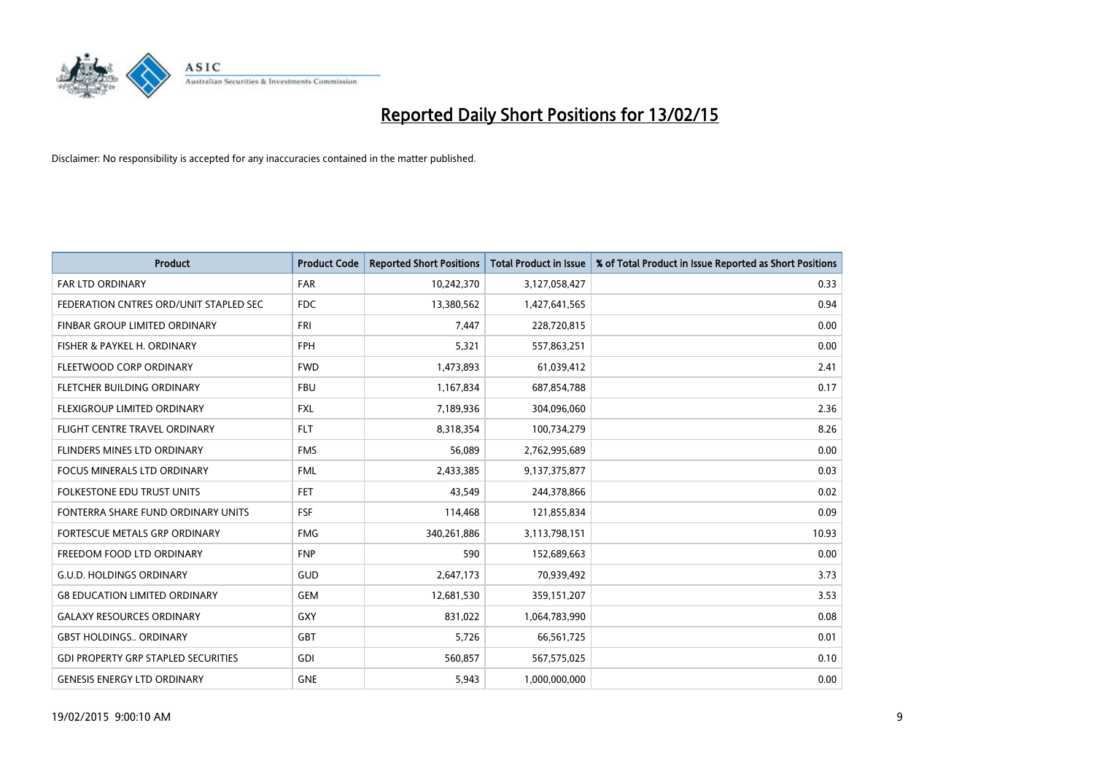

| <b>Product</b>                             | <b>Product Code</b> | <b>Reported Short Positions</b> | <b>Total Product in Issue</b> | % of Total Product in Issue Reported as Short Positions |
|--------------------------------------------|---------------------|---------------------------------|-------------------------------|---------------------------------------------------------|
| <b>FAR LTD ORDINARY</b>                    | <b>FAR</b>          | 10,242,370                      | 3,127,058,427                 | 0.33                                                    |
| FEDERATION CNTRES ORD/UNIT STAPLED SEC     | FDC                 | 13,380,562                      | 1,427,641,565                 | 0.94                                                    |
| FINBAR GROUP LIMITED ORDINARY              | <b>FRI</b>          | 7,447                           | 228,720,815                   | 0.00                                                    |
| FISHER & PAYKEL H. ORDINARY                | <b>FPH</b>          | 5,321                           | 557,863,251                   | 0.00                                                    |
| FLEETWOOD CORP ORDINARY                    | <b>FWD</b>          | 1,473,893                       | 61,039,412                    | 2.41                                                    |
| FLETCHER BUILDING ORDINARY                 | <b>FBU</b>          | 1,167,834                       | 687,854,788                   | 0.17                                                    |
| FLEXIGROUP LIMITED ORDINARY                | <b>FXL</b>          | 7,189,936                       | 304,096,060                   | 2.36                                                    |
| FLIGHT CENTRE TRAVEL ORDINARY              | <b>FLT</b>          | 8,318,354                       | 100,734,279                   | 8.26                                                    |
| FLINDERS MINES LTD ORDINARY                | <b>FMS</b>          | 56,089                          | 2,762,995,689                 | 0.00                                                    |
| <b>FOCUS MINERALS LTD ORDINARY</b>         | <b>FML</b>          | 2,433,385                       | 9,137,375,877                 | 0.03                                                    |
| FOLKESTONE EDU TRUST UNITS                 | <b>FET</b>          | 43,549                          | 244,378,866                   | 0.02                                                    |
| FONTERRA SHARE FUND ORDINARY UNITS         | <b>FSF</b>          | 114,468                         | 121,855,834                   | 0.09                                                    |
| <b>FORTESCUE METALS GRP ORDINARY</b>       | <b>FMG</b>          | 340,261,886                     | 3,113,798,151                 | 10.93                                                   |
| FREEDOM FOOD LTD ORDINARY                  | <b>FNP</b>          | 590                             | 152,689,663                   | 0.00                                                    |
| <b>G.U.D. HOLDINGS ORDINARY</b>            | GUD                 | 2,647,173                       | 70,939,492                    | 3.73                                                    |
| <b>G8 EDUCATION LIMITED ORDINARY</b>       | <b>GEM</b>          | 12,681,530                      | 359,151,207                   | 3.53                                                    |
| <b>GALAXY RESOURCES ORDINARY</b>           | GXY                 | 831,022                         | 1,064,783,990                 | 0.08                                                    |
| <b>GBST HOLDINGS., ORDINARY</b>            | <b>GBT</b>          | 5,726                           | 66,561,725                    | 0.01                                                    |
| <b>GDI PROPERTY GRP STAPLED SECURITIES</b> | GDI                 | 560,857                         | 567,575,025                   | 0.10                                                    |
| <b>GENESIS ENERGY LTD ORDINARY</b>         | <b>GNE</b>          | 5,943                           | 1,000,000,000                 | 0.00                                                    |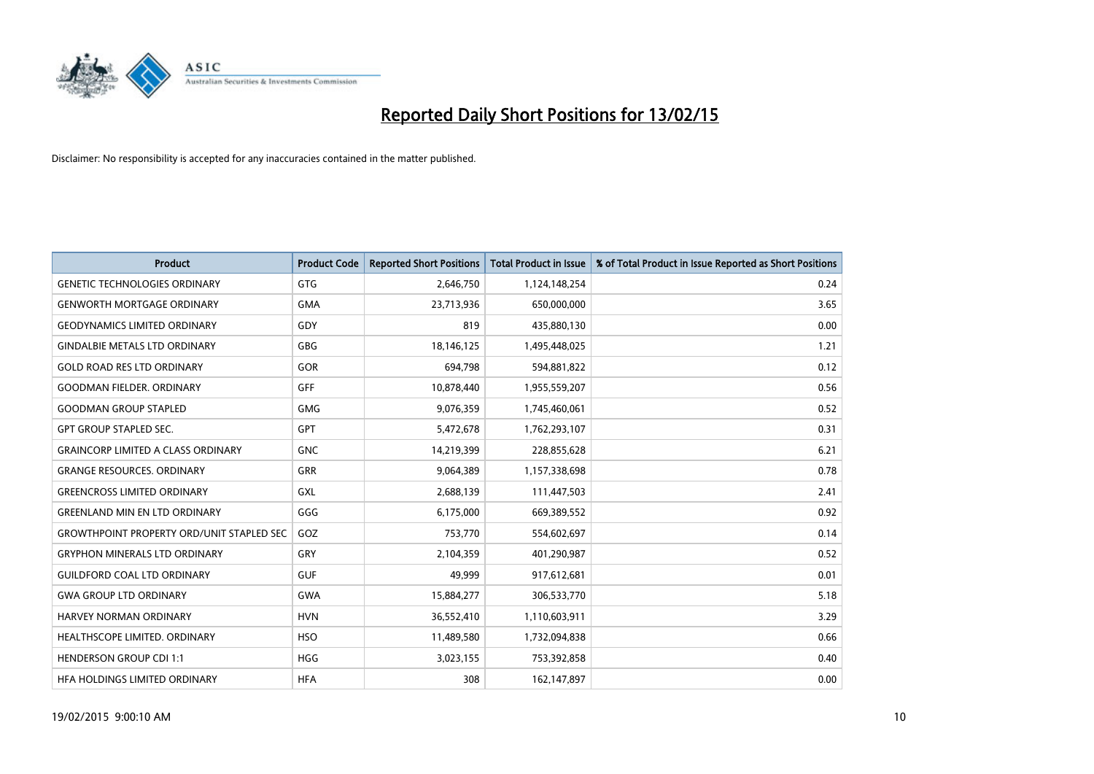

| Product                                          | <b>Product Code</b> | <b>Reported Short Positions</b> | <b>Total Product in Issue</b> | % of Total Product in Issue Reported as Short Positions |
|--------------------------------------------------|---------------------|---------------------------------|-------------------------------|---------------------------------------------------------|
| <b>GENETIC TECHNOLOGIES ORDINARY</b>             | GTG                 | 2,646,750                       | 1,124,148,254                 | 0.24                                                    |
| <b>GENWORTH MORTGAGE ORDINARY</b>                | <b>GMA</b>          | 23,713,936                      | 650,000,000                   | 3.65                                                    |
| <b>GEODYNAMICS LIMITED ORDINARY</b>              | GDY                 | 819                             | 435,880,130                   | 0.00                                                    |
| <b>GINDALBIE METALS LTD ORDINARY</b>             | GBG                 | 18,146,125                      | 1,495,448,025                 | 1.21                                                    |
| <b>GOLD ROAD RES LTD ORDINARY</b>                | GOR                 | 694,798                         | 594,881,822                   | 0.12                                                    |
| <b>GOODMAN FIELDER, ORDINARY</b>                 | <b>GFF</b>          | 10,878,440                      | 1,955,559,207                 | 0.56                                                    |
| <b>GOODMAN GROUP STAPLED</b>                     | GMG                 | 9,076,359                       | 1,745,460,061                 | 0.52                                                    |
| <b>GPT GROUP STAPLED SEC.</b>                    | GPT                 | 5,472,678                       | 1,762,293,107                 | 0.31                                                    |
| <b>GRAINCORP LIMITED A CLASS ORDINARY</b>        | <b>GNC</b>          | 14,219,399                      | 228,855,628                   | 6.21                                                    |
| <b>GRANGE RESOURCES, ORDINARY</b>                | GRR                 | 9,064,389                       | 1,157,338,698                 | 0.78                                                    |
| <b>GREENCROSS LIMITED ORDINARY</b>               | <b>GXL</b>          | 2,688,139                       | 111,447,503                   | 2.41                                                    |
| <b>GREENLAND MIN EN LTD ORDINARY</b>             | GGG                 | 6,175,000                       | 669,389,552                   | 0.92                                                    |
| <b>GROWTHPOINT PROPERTY ORD/UNIT STAPLED SEC</b> | GOZ                 | 753,770                         | 554,602,697                   | 0.14                                                    |
| <b>GRYPHON MINERALS LTD ORDINARY</b>             | GRY                 | 2,104,359                       | 401,290,987                   | 0.52                                                    |
| <b>GUILDFORD COAL LTD ORDINARY</b>               | <b>GUF</b>          | 49,999                          | 917,612,681                   | 0.01                                                    |
| <b>GWA GROUP LTD ORDINARY</b>                    | <b>GWA</b>          | 15,884,277                      | 306,533,770                   | 5.18                                                    |
| HARVEY NORMAN ORDINARY                           | <b>HVN</b>          | 36,552,410                      | 1,110,603,911                 | 3.29                                                    |
| HEALTHSCOPE LIMITED. ORDINARY                    | <b>HSO</b>          | 11,489,580                      | 1,732,094,838                 | 0.66                                                    |
| <b>HENDERSON GROUP CDI 1:1</b>                   | <b>HGG</b>          | 3,023,155                       | 753,392,858                   | 0.40                                                    |
| HEA HOLDINGS LIMITED ORDINARY                    | <b>HFA</b>          | 308                             | 162,147,897                   | 0.00                                                    |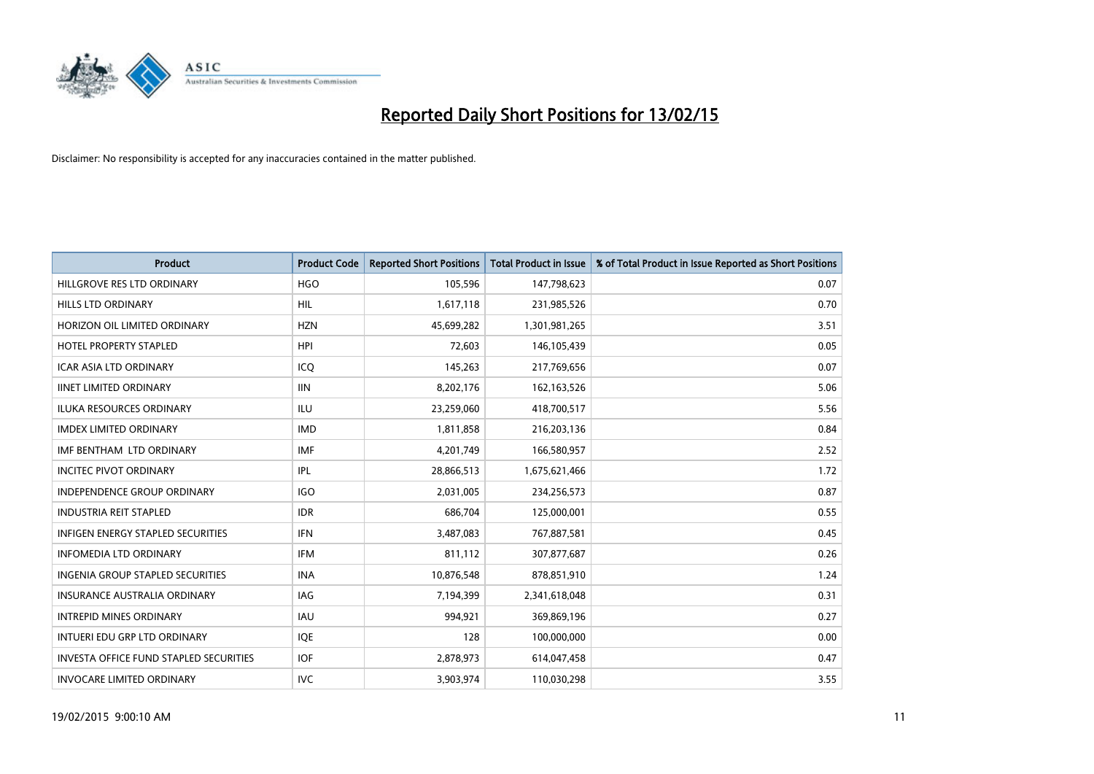

| <b>Product</b>                                | <b>Product Code</b> | <b>Reported Short Positions</b> | <b>Total Product in Issue</b> | % of Total Product in Issue Reported as Short Positions |
|-----------------------------------------------|---------------------|---------------------------------|-------------------------------|---------------------------------------------------------|
| HILLGROVE RES LTD ORDINARY                    | <b>HGO</b>          | 105,596                         | 147,798,623                   | 0.07                                                    |
| <b>HILLS LTD ORDINARY</b>                     | HIL                 | 1,617,118                       | 231,985,526                   | 0.70                                                    |
| HORIZON OIL LIMITED ORDINARY                  | <b>HZN</b>          | 45,699,282                      | 1,301,981,265                 | 3.51                                                    |
| <b>HOTEL PROPERTY STAPLED</b>                 | <b>HPI</b>          | 72,603                          | 146,105,439                   | 0.05                                                    |
| <b>ICAR ASIA LTD ORDINARY</b>                 | ICO                 | 145,263                         | 217,769,656                   | 0.07                                                    |
| <b>IINET LIMITED ORDINARY</b>                 | <b>IIN</b>          | 8,202,176                       | 162,163,526                   | 5.06                                                    |
| ILUKA RESOURCES ORDINARY                      | ILU                 | 23,259,060                      | 418,700,517                   | 5.56                                                    |
| <b>IMDEX LIMITED ORDINARY</b>                 | <b>IMD</b>          | 1,811,858                       | 216,203,136                   | 0.84                                                    |
| IMF BENTHAM LTD ORDINARY                      | <b>IMF</b>          | 4,201,749                       | 166,580,957                   | 2.52                                                    |
| <b>INCITEC PIVOT ORDINARY</b>                 | IPL                 | 28,866,513                      | 1,675,621,466                 | 1.72                                                    |
| <b>INDEPENDENCE GROUP ORDINARY</b>            | <b>IGO</b>          | 2,031,005                       | 234,256,573                   | 0.87                                                    |
| <b>INDUSTRIA REIT STAPLED</b>                 | <b>IDR</b>          | 686,704                         | 125,000,001                   | 0.55                                                    |
| <b>INFIGEN ENERGY STAPLED SECURITIES</b>      | <b>IFN</b>          | 3,487,083                       | 767,887,581                   | 0.45                                                    |
| <b>INFOMEDIA LTD ORDINARY</b>                 | <b>IFM</b>          | 811,112                         | 307,877,687                   | 0.26                                                    |
| <b>INGENIA GROUP STAPLED SECURITIES</b>       | <b>INA</b>          | 10,876,548                      | 878,851,910                   | 1.24                                                    |
| <b>INSURANCE AUSTRALIA ORDINARY</b>           | IAG                 | 7,194,399                       | 2,341,618,048                 | 0.31                                                    |
| <b>INTREPID MINES ORDINARY</b>                | <b>IAU</b>          | 994,921                         | 369,869,196                   | 0.27                                                    |
| INTUERI EDU GRP LTD ORDINARY                  | IQE                 | 128                             | 100,000,000                   | 0.00                                                    |
| <b>INVESTA OFFICE FUND STAPLED SECURITIES</b> | <b>IOF</b>          | 2,878,973                       | 614,047,458                   | 0.47                                                    |
| <b>INVOCARE LIMITED ORDINARY</b>              | <b>IVC</b>          | 3,903,974                       | 110,030,298                   | 3.55                                                    |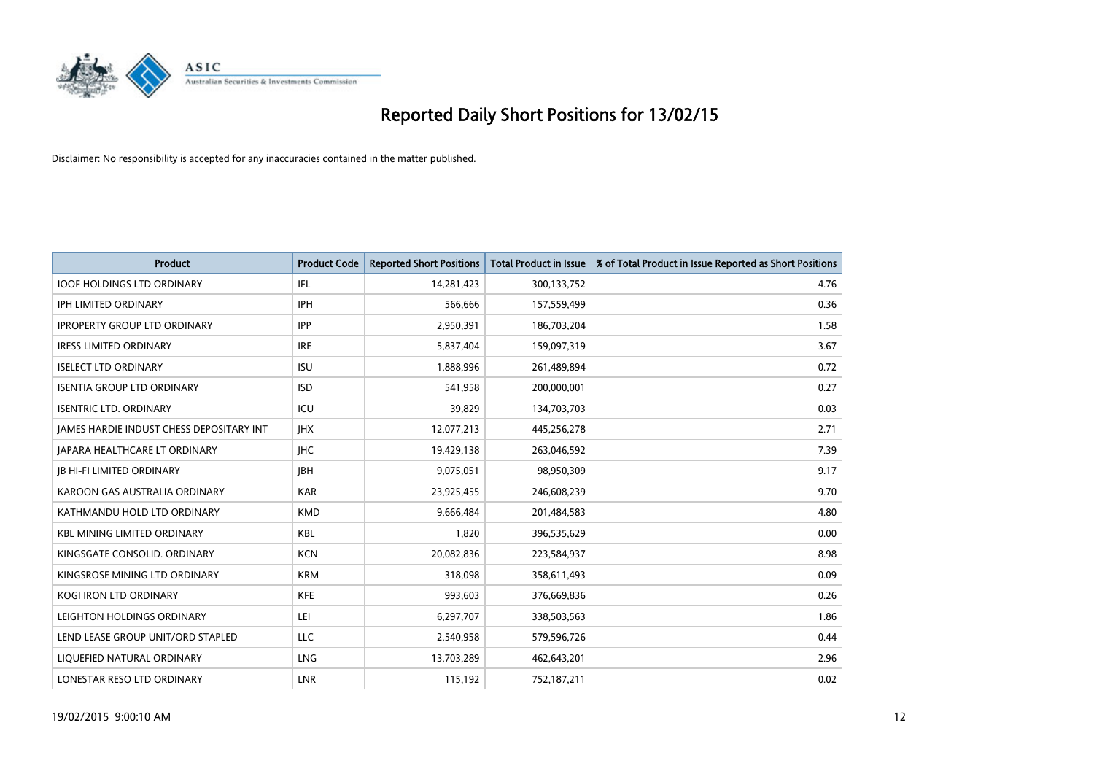

| <b>Product</b>                           | <b>Product Code</b> | <b>Reported Short Positions</b> | <b>Total Product in Issue</b> | % of Total Product in Issue Reported as Short Positions |
|------------------------------------------|---------------------|---------------------------------|-------------------------------|---------------------------------------------------------|
| <b>IOOF HOLDINGS LTD ORDINARY</b>        | IFL                 | 14,281,423                      | 300,133,752                   | 4.76                                                    |
| <b>IPH LIMITED ORDINARY</b>              | <b>IPH</b>          | 566,666                         | 157,559,499                   | 0.36                                                    |
| <b>IPROPERTY GROUP LTD ORDINARY</b>      | <b>IPP</b>          | 2,950,391                       | 186,703,204                   | 1.58                                                    |
| <b>IRESS LIMITED ORDINARY</b>            | <b>IRE</b>          | 5,837,404                       | 159,097,319                   | 3.67                                                    |
| <b>ISELECT LTD ORDINARY</b>              | <b>ISU</b>          | 1,888,996                       | 261,489,894                   | 0.72                                                    |
| <b>ISENTIA GROUP LTD ORDINARY</b>        | <b>ISD</b>          | 541,958                         | 200,000,001                   | 0.27                                                    |
| <b>ISENTRIC LTD. ORDINARY</b>            | ICU                 | 39.829                          | 134,703,703                   | 0.03                                                    |
| JAMES HARDIE INDUST CHESS DEPOSITARY INT | <b>IHX</b>          | 12,077,213                      | 445,256,278                   | 2.71                                                    |
| <b>JAPARA HEALTHCARE LT ORDINARY</b>     | <b>IHC</b>          | 19,429,138                      | 263,046,592                   | 7.39                                                    |
| <b>IB HI-FI LIMITED ORDINARY</b>         | <b>IBH</b>          | 9,075,051                       | 98,950,309                    | 9.17                                                    |
| KAROON GAS AUSTRALIA ORDINARY            | <b>KAR</b>          | 23,925,455                      | 246,608,239                   | 9.70                                                    |
| KATHMANDU HOLD LTD ORDINARY              | <b>KMD</b>          | 9,666,484                       | 201,484,583                   | 4.80                                                    |
| <b>KBL MINING LIMITED ORDINARY</b>       | <b>KBL</b>          | 1,820                           | 396,535,629                   | 0.00                                                    |
| KINGSGATE CONSOLID. ORDINARY             | <b>KCN</b>          | 20,082,836                      | 223,584,937                   | 8.98                                                    |
| KINGSROSE MINING LTD ORDINARY            | <b>KRM</b>          | 318,098                         | 358,611,493                   | 0.09                                                    |
| <b>KOGI IRON LTD ORDINARY</b>            | <b>KFE</b>          | 993,603                         | 376,669,836                   | 0.26                                                    |
| LEIGHTON HOLDINGS ORDINARY               | LEI                 | 6,297,707                       | 338,503,563                   | 1.86                                                    |
| LEND LEASE GROUP UNIT/ORD STAPLED        | LLC                 | 2,540,958                       | 579,596,726                   | 0.44                                                    |
| LIQUEFIED NATURAL ORDINARY               | <b>LNG</b>          | 13,703,289                      | 462,643,201                   | 2.96                                                    |
| LONESTAR RESO LTD ORDINARY               | <b>LNR</b>          | 115,192                         | 752,187,211                   | 0.02                                                    |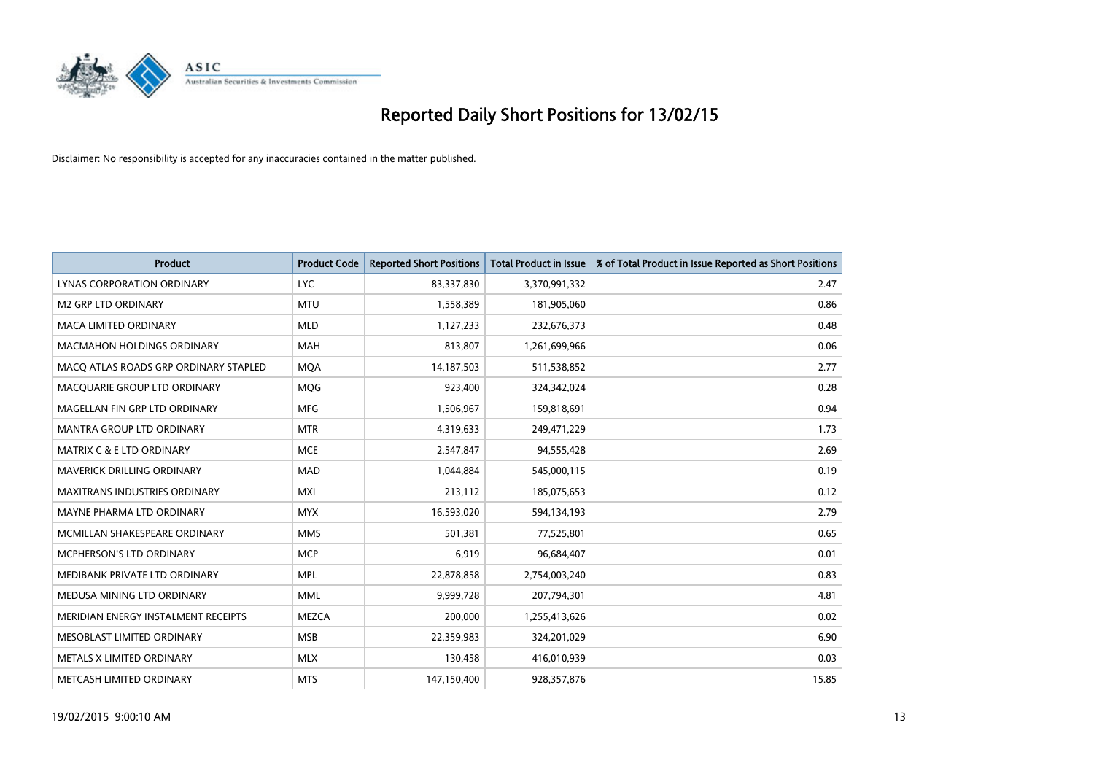

| <b>Product</b>                        | <b>Product Code</b> | <b>Reported Short Positions</b> | <b>Total Product in Issue</b> | % of Total Product in Issue Reported as Short Positions |
|---------------------------------------|---------------------|---------------------------------|-------------------------------|---------------------------------------------------------|
| LYNAS CORPORATION ORDINARY            | <b>LYC</b>          | 83,337,830                      | 3,370,991,332                 | 2.47                                                    |
| <b>M2 GRP LTD ORDINARY</b>            | <b>MTU</b>          | 1,558,389                       | 181,905,060                   | 0.86                                                    |
| <b>MACA LIMITED ORDINARY</b>          | <b>MLD</b>          | 1,127,233                       | 232,676,373                   | 0.48                                                    |
| <b>MACMAHON HOLDINGS ORDINARY</b>     | <b>MAH</b>          | 813,807                         | 1,261,699,966                 | 0.06                                                    |
| MACO ATLAS ROADS GRP ORDINARY STAPLED | <b>MOA</b>          | 14,187,503                      | 511,538,852                   | 2.77                                                    |
| MACQUARIE GROUP LTD ORDINARY          | <b>MQG</b>          | 923,400                         | 324,342,024                   | 0.28                                                    |
| MAGELLAN FIN GRP LTD ORDINARY         | <b>MFG</b>          | 1,506,967                       | 159,818,691                   | 0.94                                                    |
| <b>MANTRA GROUP LTD ORDINARY</b>      | <b>MTR</b>          | 4,319,633                       | 249,471,229                   | 1.73                                                    |
| <b>MATRIX C &amp; E LTD ORDINARY</b>  | <b>MCE</b>          | 2,547,847                       | 94,555,428                    | 2.69                                                    |
| MAVERICK DRILLING ORDINARY            | MAD                 | 1,044,884                       | 545,000,115                   | 0.19                                                    |
| MAXITRANS INDUSTRIES ORDINARY         | <b>MXI</b>          | 213,112                         | 185,075,653                   | 0.12                                                    |
| MAYNE PHARMA LTD ORDINARY             | <b>MYX</b>          | 16,593,020                      | 594,134,193                   | 2.79                                                    |
| MCMILLAN SHAKESPEARE ORDINARY         | <b>MMS</b>          | 501,381                         | 77,525,801                    | 0.65                                                    |
| <b>MCPHERSON'S LTD ORDINARY</b>       | <b>MCP</b>          | 6,919                           | 96,684,407                    | 0.01                                                    |
| MEDIBANK PRIVATE LTD ORDINARY         | <b>MPL</b>          | 22,878,858                      | 2,754,003,240                 | 0.83                                                    |
| MEDUSA MINING LTD ORDINARY            | <b>MML</b>          | 9,999,728                       | 207,794,301                   | 4.81                                                    |
| MERIDIAN ENERGY INSTALMENT RECEIPTS   | <b>MEZCA</b>        | 200,000                         | 1,255,413,626                 | 0.02                                                    |
| MESOBLAST LIMITED ORDINARY            | <b>MSB</b>          | 22,359,983                      | 324,201,029                   | 6.90                                                    |
| METALS X LIMITED ORDINARY             | <b>MLX</b>          | 130,458                         | 416,010,939                   | 0.03                                                    |
| METCASH LIMITED ORDINARY              | <b>MTS</b>          | 147,150,400                     | 928,357,876                   | 15.85                                                   |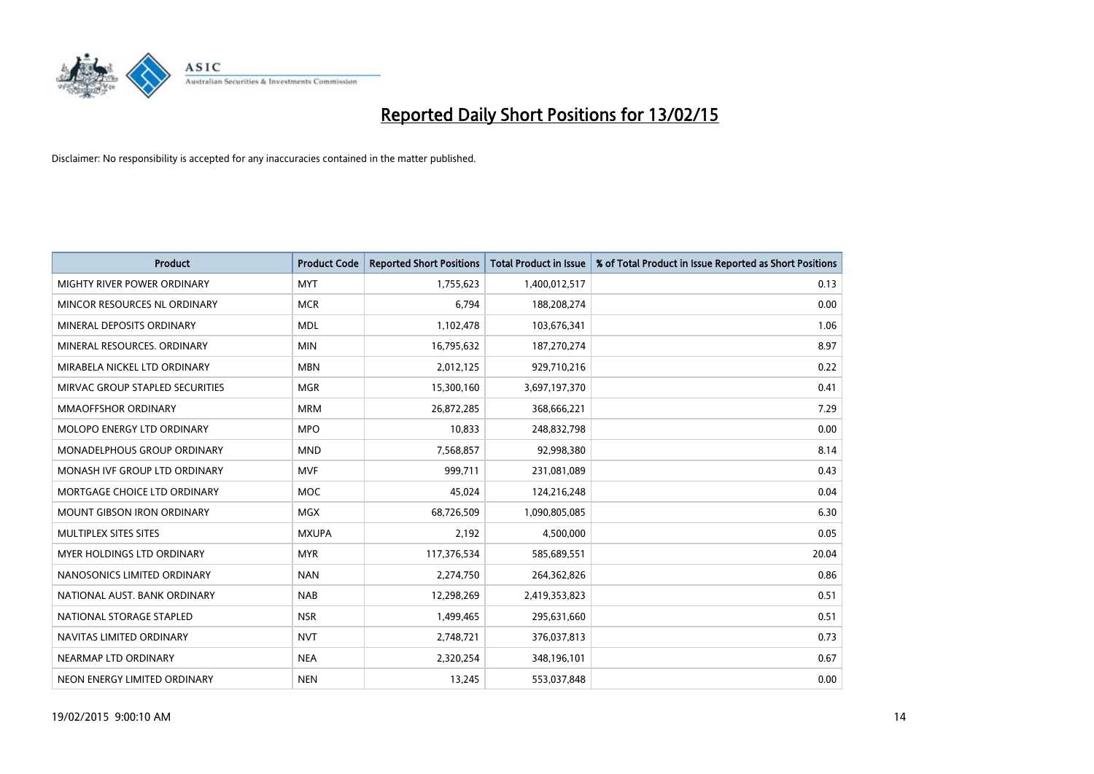

| <b>Product</b>                    | <b>Product Code</b> | <b>Reported Short Positions</b> | <b>Total Product in Issue</b> | % of Total Product in Issue Reported as Short Positions |
|-----------------------------------|---------------------|---------------------------------|-------------------------------|---------------------------------------------------------|
| MIGHTY RIVER POWER ORDINARY       | <b>MYT</b>          | 1,755,623                       | 1,400,012,517                 | 0.13                                                    |
| MINCOR RESOURCES NL ORDINARY      | <b>MCR</b>          | 6,794                           | 188,208,274                   | 0.00                                                    |
| MINERAL DEPOSITS ORDINARY         | <b>MDL</b>          | 1,102,478                       | 103,676,341                   | 1.06                                                    |
| MINERAL RESOURCES, ORDINARY       | <b>MIN</b>          | 16,795,632                      | 187,270,274                   | 8.97                                                    |
| MIRABELA NICKEL LTD ORDINARY      | <b>MBN</b>          | 2,012,125                       | 929,710,216                   | 0.22                                                    |
| MIRVAC GROUP STAPLED SECURITIES   | <b>MGR</b>          | 15,300,160                      | 3,697,197,370                 | 0.41                                                    |
| <b>MMAOFFSHOR ORDINARY</b>        | <b>MRM</b>          | 26,872,285                      | 368,666,221                   | 7.29                                                    |
| MOLOPO ENERGY LTD ORDINARY        | <b>MPO</b>          | 10,833                          | 248,832,798                   | 0.00                                                    |
| MONADELPHOUS GROUP ORDINARY       | <b>MND</b>          | 7,568,857                       | 92,998,380                    | 8.14                                                    |
| MONASH IVF GROUP LTD ORDINARY     | <b>MVF</b>          | 999,711                         | 231,081,089                   | 0.43                                                    |
| MORTGAGE CHOICE LTD ORDINARY      | MOC                 | 45,024                          | 124,216,248                   | 0.04                                                    |
| <b>MOUNT GIBSON IRON ORDINARY</b> | <b>MGX</b>          | 68,726,509                      | 1,090,805,085                 | 6.30                                                    |
| MULTIPLEX SITES SITES             | <b>MXUPA</b>        | 2,192                           | 4,500,000                     | 0.05                                                    |
| MYER HOLDINGS LTD ORDINARY        | <b>MYR</b>          | 117,376,534                     | 585,689,551                   | 20.04                                                   |
| NANOSONICS LIMITED ORDINARY       | <b>NAN</b>          | 2,274,750                       | 264,362,826                   | 0.86                                                    |
| NATIONAL AUST. BANK ORDINARY      | <b>NAB</b>          | 12,298,269                      | 2,419,353,823                 | 0.51                                                    |
| NATIONAL STORAGE STAPLED          | <b>NSR</b>          | 1,499,465                       | 295,631,660                   | 0.51                                                    |
| NAVITAS LIMITED ORDINARY          | <b>NVT</b>          | 2,748,721                       | 376,037,813                   | 0.73                                                    |
| NEARMAP LTD ORDINARY              | <b>NEA</b>          | 2,320,254                       | 348,196,101                   | 0.67                                                    |
| NEON ENERGY LIMITED ORDINARY      | <b>NEN</b>          | 13,245                          | 553,037,848                   | 0.00                                                    |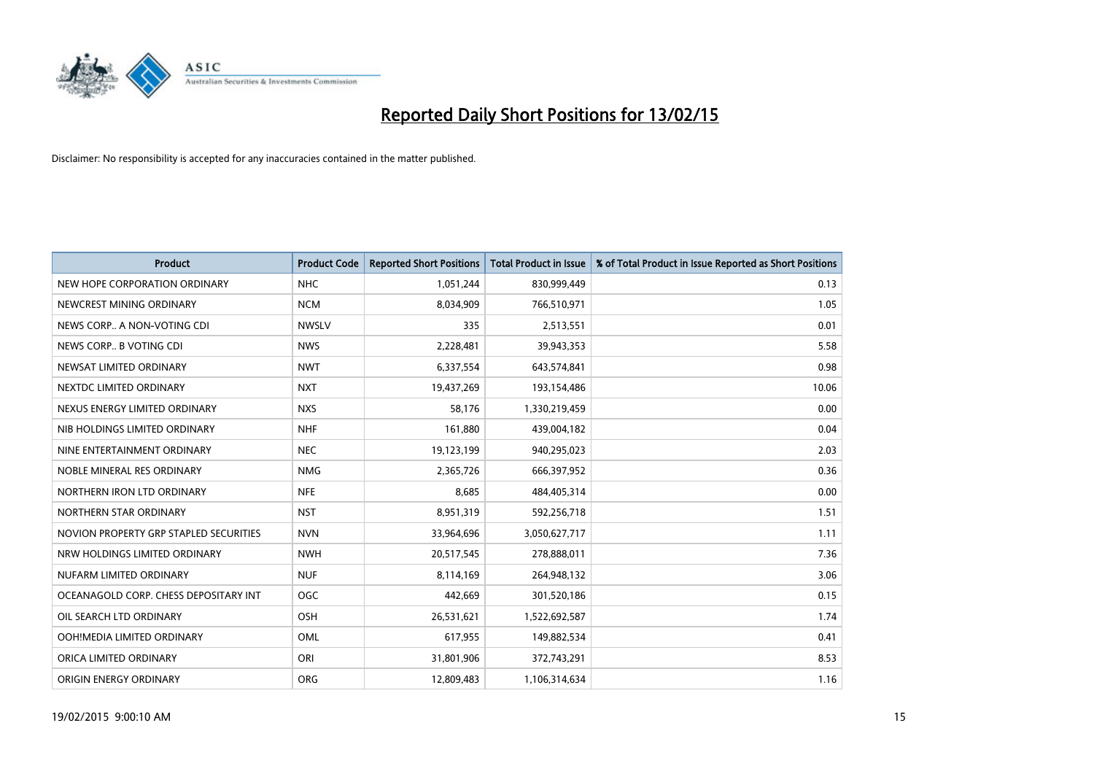

| <b>Product</b>                         | <b>Product Code</b> | <b>Reported Short Positions</b> | <b>Total Product in Issue</b> | % of Total Product in Issue Reported as Short Positions |
|----------------------------------------|---------------------|---------------------------------|-------------------------------|---------------------------------------------------------|
| NEW HOPE CORPORATION ORDINARY          | <b>NHC</b>          | 1,051,244                       | 830,999,449                   | 0.13                                                    |
| NEWCREST MINING ORDINARY               | <b>NCM</b>          | 8,034,909                       | 766,510,971                   | 1.05                                                    |
| NEWS CORP A NON-VOTING CDI             | <b>NWSLV</b>        | 335                             | 2,513,551                     | 0.01                                                    |
| NEWS CORP B VOTING CDI                 | <b>NWS</b>          | 2,228,481                       | 39,943,353                    | 5.58                                                    |
| NEWSAT LIMITED ORDINARY                | <b>NWT</b>          | 6,337,554                       | 643,574,841                   | 0.98                                                    |
| NEXTDC LIMITED ORDINARY                | <b>NXT</b>          | 19,437,269                      | 193,154,486                   | 10.06                                                   |
| NEXUS ENERGY LIMITED ORDINARY          | <b>NXS</b>          | 58,176                          | 1,330,219,459                 | 0.00                                                    |
| NIB HOLDINGS LIMITED ORDINARY          | <b>NHF</b>          | 161,880                         | 439,004,182                   | 0.04                                                    |
| NINE ENTERTAINMENT ORDINARY            | <b>NEC</b>          | 19,123,199                      | 940,295,023                   | 2.03                                                    |
| NOBLE MINERAL RES ORDINARY             | <b>NMG</b>          | 2,365,726                       | 666,397,952                   | 0.36                                                    |
| NORTHERN IRON LTD ORDINARY             | <b>NFE</b>          | 8,685                           | 484,405,314                   | 0.00                                                    |
| NORTHERN STAR ORDINARY                 | <b>NST</b>          | 8,951,319                       | 592,256,718                   | 1.51                                                    |
| NOVION PROPERTY GRP STAPLED SECURITIES | <b>NVN</b>          | 33,964,696                      | 3,050,627,717                 | 1.11                                                    |
| NRW HOLDINGS LIMITED ORDINARY          | <b>NWH</b>          | 20,517,545                      | 278,888,011                   | 7.36                                                    |
| NUFARM LIMITED ORDINARY                | <b>NUF</b>          | 8,114,169                       | 264,948,132                   | 3.06                                                    |
| OCEANAGOLD CORP. CHESS DEPOSITARY INT  | <b>OGC</b>          | 442,669                         | 301,520,186                   | 0.15                                                    |
| OIL SEARCH LTD ORDINARY                | OSH                 | 26,531,621                      | 1,522,692,587                 | 1.74                                                    |
| OOH!MEDIA LIMITED ORDINARY             | <b>OML</b>          | 617,955                         | 149,882,534                   | 0.41                                                    |
| ORICA LIMITED ORDINARY                 | ORI                 | 31,801,906                      | 372,743,291                   | 8.53                                                    |
| ORIGIN ENERGY ORDINARY                 | <b>ORG</b>          | 12,809,483                      | 1,106,314,634                 | 1.16                                                    |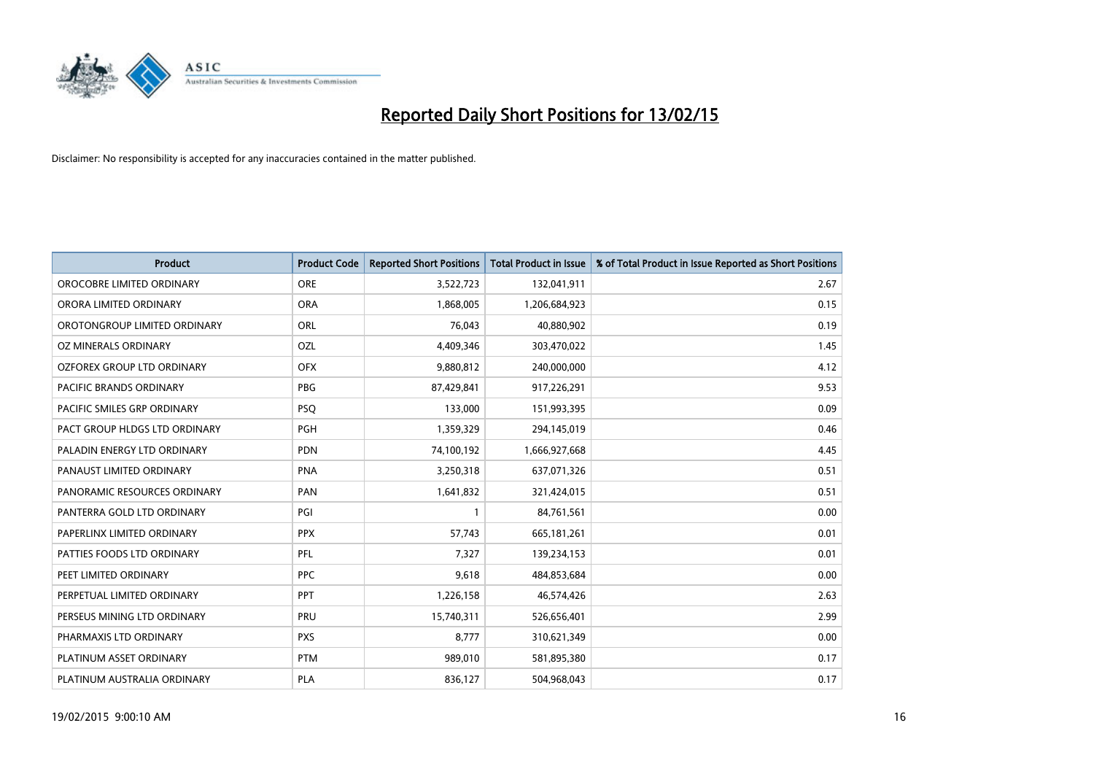

| <b>Product</b>                    | <b>Product Code</b> | <b>Reported Short Positions</b> | <b>Total Product in Issue</b> | % of Total Product in Issue Reported as Short Positions |
|-----------------------------------|---------------------|---------------------------------|-------------------------------|---------------------------------------------------------|
| OROCOBRE LIMITED ORDINARY         | <b>ORE</b>          | 3,522,723                       | 132,041,911                   | 2.67                                                    |
| ORORA LIMITED ORDINARY            | <b>ORA</b>          | 1,868,005                       | 1,206,684,923                 | 0.15                                                    |
| OROTONGROUP LIMITED ORDINARY      | ORL                 | 76,043                          | 40,880,902                    | 0.19                                                    |
| OZ MINERALS ORDINARY              | OZL                 | 4,409,346                       | 303,470,022                   | 1.45                                                    |
| <b>OZFOREX GROUP LTD ORDINARY</b> | <b>OFX</b>          | 9,880,812                       | 240,000,000                   | 4.12                                                    |
| PACIFIC BRANDS ORDINARY           | <b>PBG</b>          | 87,429,841                      | 917,226,291                   | 9.53                                                    |
| PACIFIC SMILES GRP ORDINARY       | <b>PSQ</b>          | 133,000                         | 151,993,395                   | 0.09                                                    |
| PACT GROUP HLDGS LTD ORDINARY     | PGH                 | 1,359,329                       | 294,145,019                   | 0.46                                                    |
| PALADIN ENERGY LTD ORDINARY       | <b>PDN</b>          | 74,100,192                      | 1,666,927,668                 | 4.45                                                    |
| PANAUST LIMITED ORDINARY          | <b>PNA</b>          | 3,250,318                       | 637,071,326                   | 0.51                                                    |
| PANORAMIC RESOURCES ORDINARY      | PAN                 | 1,641,832                       | 321,424,015                   | 0.51                                                    |
| PANTERRA GOLD LTD ORDINARY        | PGI                 | 1                               | 84,761,561                    | 0.00                                                    |
| PAPERLINX LIMITED ORDINARY        | <b>PPX</b>          | 57,743                          | 665, 181, 261                 | 0.01                                                    |
| PATTIES FOODS LTD ORDINARY        | PFL                 | 7,327                           | 139,234,153                   | 0.01                                                    |
| PEET LIMITED ORDINARY             | <b>PPC</b>          | 9,618                           | 484,853,684                   | 0.00                                                    |
| PERPETUAL LIMITED ORDINARY        | <b>PPT</b>          | 1,226,158                       | 46,574,426                    | 2.63                                                    |
| PERSEUS MINING LTD ORDINARY       | PRU                 | 15,740,311                      | 526,656,401                   | 2.99                                                    |
| PHARMAXIS LTD ORDINARY            | <b>PXS</b>          | 8,777                           | 310,621,349                   | 0.00                                                    |
| PLATINUM ASSET ORDINARY           | <b>PTM</b>          | 989,010                         | 581,895,380                   | 0.17                                                    |
| PLATINUM AUSTRALIA ORDINARY       | PLA                 | 836,127                         | 504,968,043                   | 0.17                                                    |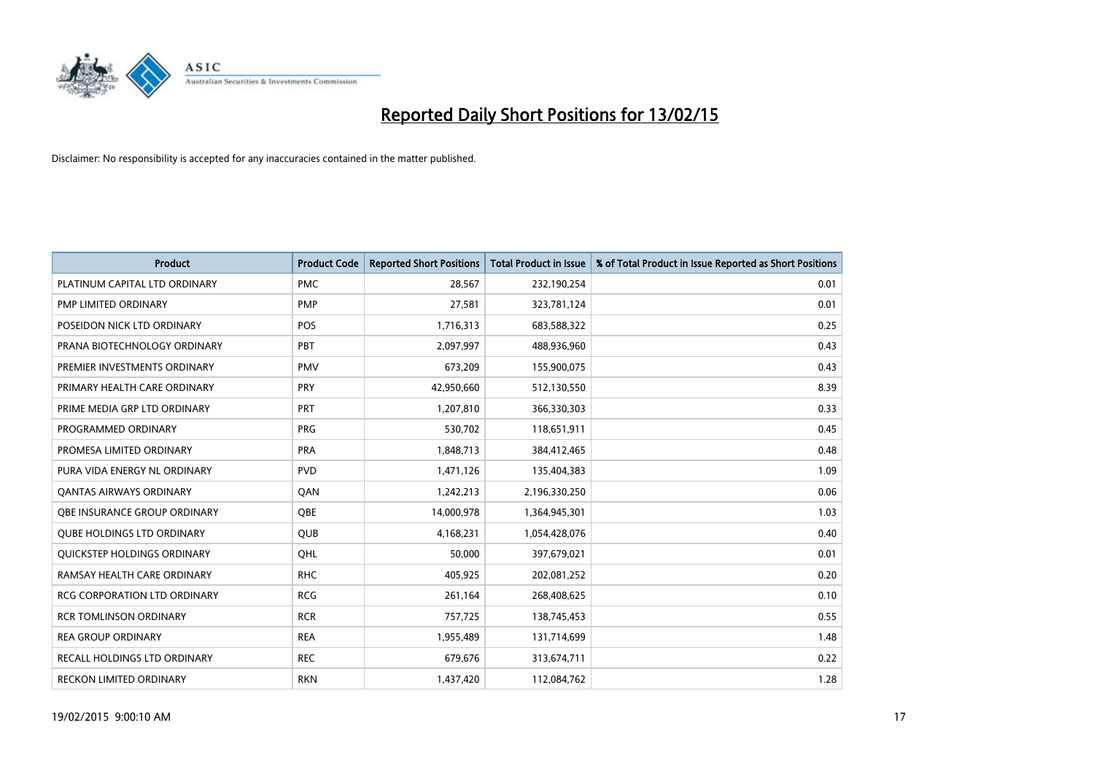

| <b>Product</b>                      | <b>Product Code</b> | <b>Reported Short Positions</b> | <b>Total Product in Issue</b> | % of Total Product in Issue Reported as Short Positions |
|-------------------------------------|---------------------|---------------------------------|-------------------------------|---------------------------------------------------------|
| PLATINUM CAPITAL LTD ORDINARY       | <b>PMC</b>          | 28,567                          | 232,190,254                   | 0.01                                                    |
| PMP LIMITED ORDINARY                | <b>PMP</b>          | 27,581                          | 323,781,124                   | 0.01                                                    |
| POSEIDON NICK LTD ORDINARY          | <b>POS</b>          | 1,716,313                       | 683,588,322                   | 0.25                                                    |
| PRANA BIOTECHNOLOGY ORDINARY        | PBT                 | 2,097,997                       | 488,936,960                   | 0.43                                                    |
| PREMIER INVESTMENTS ORDINARY        | <b>PMV</b>          | 673,209                         | 155,900,075                   | 0.43                                                    |
| PRIMARY HEALTH CARE ORDINARY        | <b>PRY</b>          | 42,950,660                      | 512,130,550                   | 8.39                                                    |
| PRIME MEDIA GRP LTD ORDINARY        | <b>PRT</b>          | 1,207,810                       | 366,330,303                   | 0.33                                                    |
| PROGRAMMED ORDINARY                 | <b>PRG</b>          | 530,702                         | 118,651,911                   | 0.45                                                    |
| PROMESA LIMITED ORDINARY            | <b>PRA</b>          | 1,848,713                       | 384,412,465                   | 0.48                                                    |
| PURA VIDA ENERGY NL ORDINARY        | <b>PVD</b>          | 1,471,126                       | 135,404,383                   | 1.09                                                    |
| <b>QANTAS AIRWAYS ORDINARY</b>      | QAN                 | 1,242,213                       | 2,196,330,250                 | 0.06                                                    |
| <b>OBE INSURANCE GROUP ORDINARY</b> | QBE                 | 14,000,978                      | 1,364,945,301                 | 1.03                                                    |
| <b>QUBE HOLDINGS LTD ORDINARY</b>   | <b>QUB</b>          | 4,168,231                       | 1,054,428,076                 | 0.40                                                    |
| QUICKSTEP HOLDINGS ORDINARY         | OHL                 | 50,000                          | 397,679,021                   | 0.01                                                    |
| RAMSAY HEALTH CARE ORDINARY         | <b>RHC</b>          | 405,925                         | 202,081,252                   | 0.20                                                    |
| RCG CORPORATION LTD ORDINARY        | <b>RCG</b>          | 261,164                         | 268,408,625                   | 0.10                                                    |
| <b>RCR TOMLINSON ORDINARY</b>       | <b>RCR</b>          | 757,725                         | 138,745,453                   | 0.55                                                    |
| <b>REA GROUP ORDINARY</b>           | <b>REA</b>          | 1,955,489                       | 131,714,699                   | 1.48                                                    |
| RECALL HOLDINGS LTD ORDINARY        | <b>REC</b>          | 679,676                         | 313,674,711                   | 0.22                                                    |
| RECKON LIMITED ORDINARY             | <b>RKN</b>          | 1,437,420                       | 112,084,762                   | 1.28                                                    |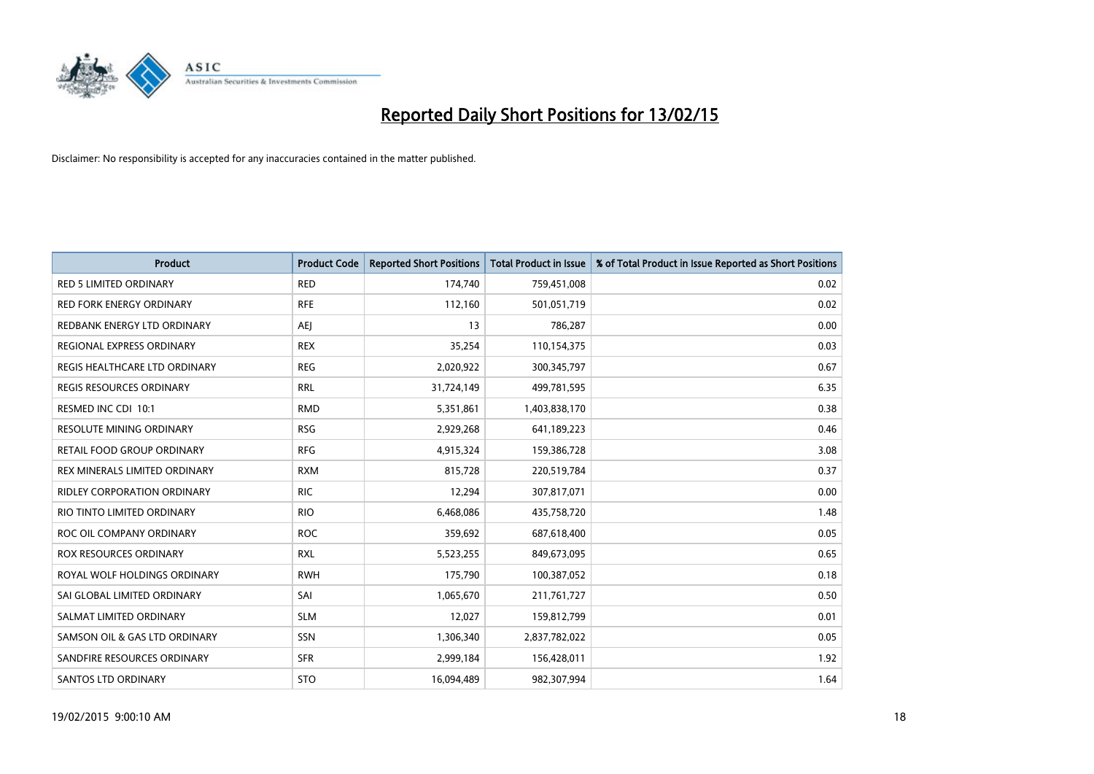

| <b>Product</b>                    | <b>Product Code</b> | <b>Reported Short Positions</b> | <b>Total Product in Issue</b> | % of Total Product in Issue Reported as Short Positions |
|-----------------------------------|---------------------|---------------------------------|-------------------------------|---------------------------------------------------------|
| <b>RED 5 LIMITED ORDINARY</b>     | <b>RED</b>          | 174,740                         | 759,451,008                   | 0.02                                                    |
| <b>RED FORK ENERGY ORDINARY</b>   | <b>RFE</b>          | 112,160                         | 501,051,719                   | 0.02                                                    |
| REDBANK ENERGY LTD ORDINARY       | AEJ                 | 13                              | 786,287                       | 0.00                                                    |
| REGIONAL EXPRESS ORDINARY         | <b>REX</b>          | 35,254                          | 110,154,375                   | 0.03                                                    |
| REGIS HEALTHCARE LTD ORDINARY     | <b>REG</b>          | 2,020,922                       | 300, 345, 797                 | 0.67                                                    |
| <b>REGIS RESOURCES ORDINARY</b>   | <b>RRL</b>          | 31,724,149                      | 499,781,595                   | 6.35                                                    |
| RESMED INC CDI 10:1               | <b>RMD</b>          | 5,351,861                       | 1,403,838,170                 | 0.38                                                    |
| RESOLUTE MINING ORDINARY          | <b>RSG</b>          | 2,929,268                       | 641,189,223                   | 0.46                                                    |
| <b>RETAIL FOOD GROUP ORDINARY</b> | <b>RFG</b>          | 4,915,324                       | 159,386,728                   | 3.08                                                    |
| REX MINERALS LIMITED ORDINARY     | <b>RXM</b>          | 815,728                         | 220,519,784                   | 0.37                                                    |
| RIDLEY CORPORATION ORDINARY       | <b>RIC</b>          | 12,294                          | 307,817,071                   | 0.00                                                    |
| RIO TINTO LIMITED ORDINARY        | <b>RIO</b>          | 6,468,086                       | 435,758,720                   | 1.48                                                    |
| ROC OIL COMPANY ORDINARY          | <b>ROC</b>          | 359,692                         | 687,618,400                   | 0.05                                                    |
| <b>ROX RESOURCES ORDINARY</b>     | <b>RXL</b>          | 5,523,255                       | 849,673,095                   | 0.65                                                    |
| ROYAL WOLF HOLDINGS ORDINARY      | <b>RWH</b>          | 175,790                         | 100,387,052                   | 0.18                                                    |
| SAI GLOBAL LIMITED ORDINARY       | SAI                 | 1,065,670                       | 211,761,727                   | 0.50                                                    |
| SALMAT LIMITED ORDINARY           | <b>SLM</b>          | 12,027                          | 159,812,799                   | 0.01                                                    |
| SAMSON OIL & GAS LTD ORDINARY     | <b>SSN</b>          | 1,306,340                       | 2,837,782,022                 | 0.05                                                    |
| SANDFIRE RESOURCES ORDINARY       | <b>SFR</b>          | 2,999,184                       | 156,428,011                   | 1.92                                                    |
| <b>SANTOS LTD ORDINARY</b>        | <b>STO</b>          | 16,094,489                      | 982,307,994                   | 1.64                                                    |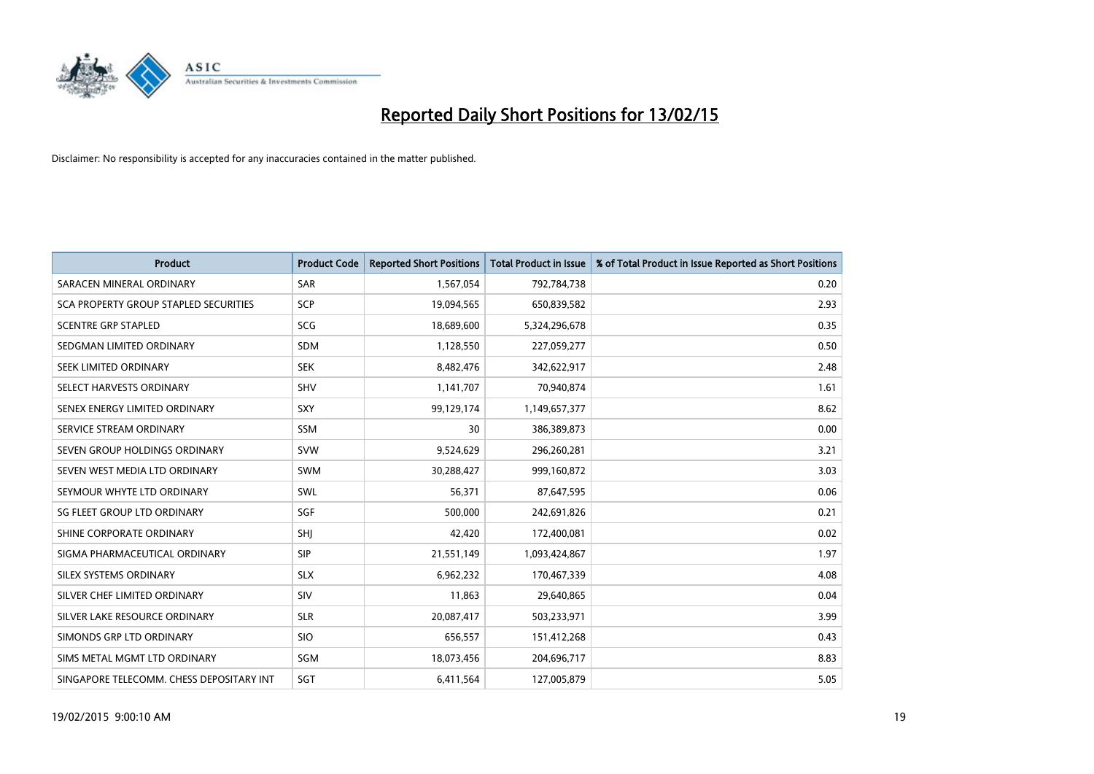

| <b>Product</b>                           | <b>Product Code</b> | <b>Reported Short Positions</b> | <b>Total Product in Issue</b> | % of Total Product in Issue Reported as Short Positions |
|------------------------------------------|---------------------|---------------------------------|-------------------------------|---------------------------------------------------------|
| SARACEN MINERAL ORDINARY                 | <b>SAR</b>          | 1,567,054                       | 792,784,738                   | 0.20                                                    |
| SCA PROPERTY GROUP STAPLED SECURITIES    | <b>SCP</b>          | 19,094,565                      | 650,839,582                   | 2.93                                                    |
| <b>SCENTRE GRP STAPLED</b>               | <b>SCG</b>          | 18,689,600                      | 5,324,296,678                 | 0.35                                                    |
| SEDGMAN LIMITED ORDINARY                 | <b>SDM</b>          | 1,128,550                       | 227,059,277                   | 0.50                                                    |
| SEEK LIMITED ORDINARY                    | <b>SEK</b>          | 8,482,476                       | 342,622,917                   | 2.48                                                    |
| SELECT HARVESTS ORDINARY                 | SHV                 | 1,141,707                       | 70,940,874                    | 1.61                                                    |
| SENEX ENERGY LIMITED ORDINARY            | <b>SXY</b>          | 99,129,174                      | 1,149,657,377                 | 8.62                                                    |
| SERVICE STREAM ORDINARY                  | SSM                 | 30                              | 386,389,873                   | 0.00                                                    |
| SEVEN GROUP HOLDINGS ORDINARY            | <b>SVW</b>          | 9,524,629                       | 296,260,281                   | 3.21                                                    |
| SEVEN WEST MEDIA LTD ORDINARY            | <b>SWM</b>          | 30,288,427                      | 999,160,872                   | 3.03                                                    |
| SEYMOUR WHYTE LTD ORDINARY               | SWL                 | 56,371                          | 87,647,595                    | 0.06                                                    |
| SG FLEET GROUP LTD ORDINARY              | SGF                 | 500,000                         | 242,691,826                   | 0.21                                                    |
| SHINE CORPORATE ORDINARY                 | SHI                 | 42,420                          | 172,400,081                   | 0.02                                                    |
| SIGMA PHARMACEUTICAL ORDINARY            | <b>SIP</b>          | 21,551,149                      | 1,093,424,867                 | 1.97                                                    |
| SILEX SYSTEMS ORDINARY                   | <b>SLX</b>          | 6,962,232                       | 170,467,339                   | 4.08                                                    |
| SILVER CHEF LIMITED ORDINARY             | SIV                 | 11,863                          | 29,640,865                    | 0.04                                                    |
| SILVER LAKE RESOURCE ORDINARY            | <b>SLR</b>          | 20,087,417                      | 503,233,971                   | 3.99                                                    |
| SIMONDS GRP LTD ORDINARY                 | <b>SIO</b>          | 656,557                         | 151,412,268                   | 0.43                                                    |
| SIMS METAL MGMT LTD ORDINARY             | SGM                 | 18,073,456                      | 204,696,717                   | 8.83                                                    |
| SINGAPORE TELECOMM. CHESS DEPOSITARY INT | SGT                 | 6,411,564                       | 127,005,879                   | 5.05                                                    |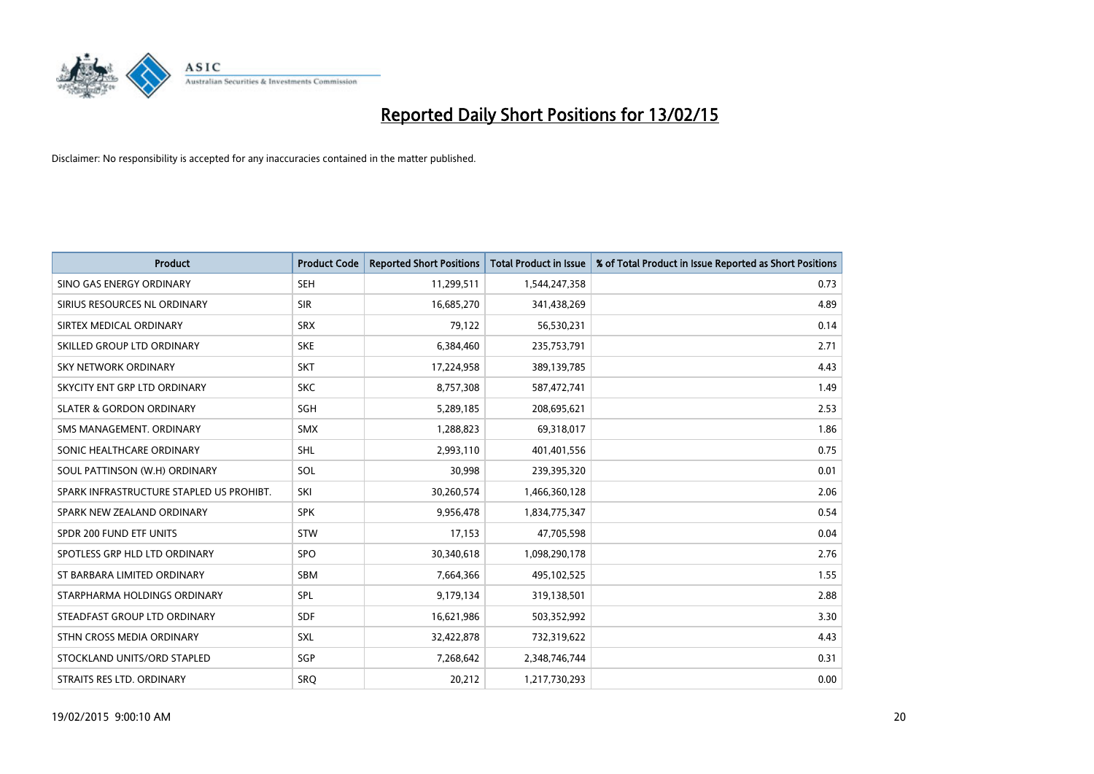

| <b>Product</b>                           | <b>Product Code</b> | <b>Reported Short Positions</b> | <b>Total Product in Issue</b> | % of Total Product in Issue Reported as Short Positions |
|------------------------------------------|---------------------|---------------------------------|-------------------------------|---------------------------------------------------------|
| SINO GAS ENERGY ORDINARY                 | <b>SEH</b>          | 11,299,511                      | 1,544,247,358                 | 0.73                                                    |
| SIRIUS RESOURCES NL ORDINARY             | <b>SIR</b>          | 16,685,270                      | 341,438,269                   | 4.89                                                    |
| SIRTEX MEDICAL ORDINARY                  | <b>SRX</b>          | 79,122                          | 56,530,231                    | 0.14                                                    |
| SKILLED GROUP LTD ORDINARY               | <b>SKE</b>          | 6,384,460                       | 235,753,791                   | 2.71                                                    |
| <b>SKY NETWORK ORDINARY</b>              | <b>SKT</b>          | 17,224,958                      | 389,139,785                   | 4.43                                                    |
| SKYCITY ENT GRP LTD ORDINARY             | <b>SKC</b>          | 8,757,308                       | 587,472,741                   | 1.49                                                    |
| <b>SLATER &amp; GORDON ORDINARY</b>      | SGH                 | 5,289,185                       | 208,695,621                   | 2.53                                                    |
| SMS MANAGEMENT, ORDINARY                 | <b>SMX</b>          | 1,288,823                       | 69,318,017                    | 1.86                                                    |
| SONIC HEALTHCARE ORDINARY                | <b>SHL</b>          | 2,993,110                       | 401,401,556                   | 0.75                                                    |
| SOUL PATTINSON (W.H) ORDINARY            | <b>SOL</b>          | 30,998                          | 239,395,320                   | 0.01                                                    |
| SPARK INFRASTRUCTURE STAPLED US PROHIBT. | SKI                 | 30,260,574                      | 1,466,360,128                 | 2.06                                                    |
| SPARK NEW ZEALAND ORDINARY               | <b>SPK</b>          | 9,956,478                       | 1,834,775,347                 | 0.54                                                    |
| SPDR 200 FUND ETF UNITS                  | <b>STW</b>          | 17,153                          | 47,705,598                    | 0.04                                                    |
| SPOTLESS GRP HLD LTD ORDINARY            | <b>SPO</b>          | 30,340,618                      | 1,098,290,178                 | 2.76                                                    |
| ST BARBARA LIMITED ORDINARY              | <b>SBM</b>          | 7,664,366                       | 495,102,525                   | 1.55                                                    |
| STARPHARMA HOLDINGS ORDINARY             | SPL                 | 9,179,134                       | 319,138,501                   | 2.88                                                    |
| STEADFAST GROUP LTD ORDINARY             | SDF                 | 16,621,986                      | 503,352,992                   | 3.30                                                    |
| STHN CROSS MEDIA ORDINARY                | <b>SXL</b>          | 32,422,878                      | 732,319,622                   | 4.43                                                    |
| STOCKLAND UNITS/ORD STAPLED              | SGP                 | 7,268,642                       | 2,348,746,744                 | 0.31                                                    |
| STRAITS RES LTD. ORDINARY                | SRO                 | 20,212                          | 1,217,730,293                 | 0.00                                                    |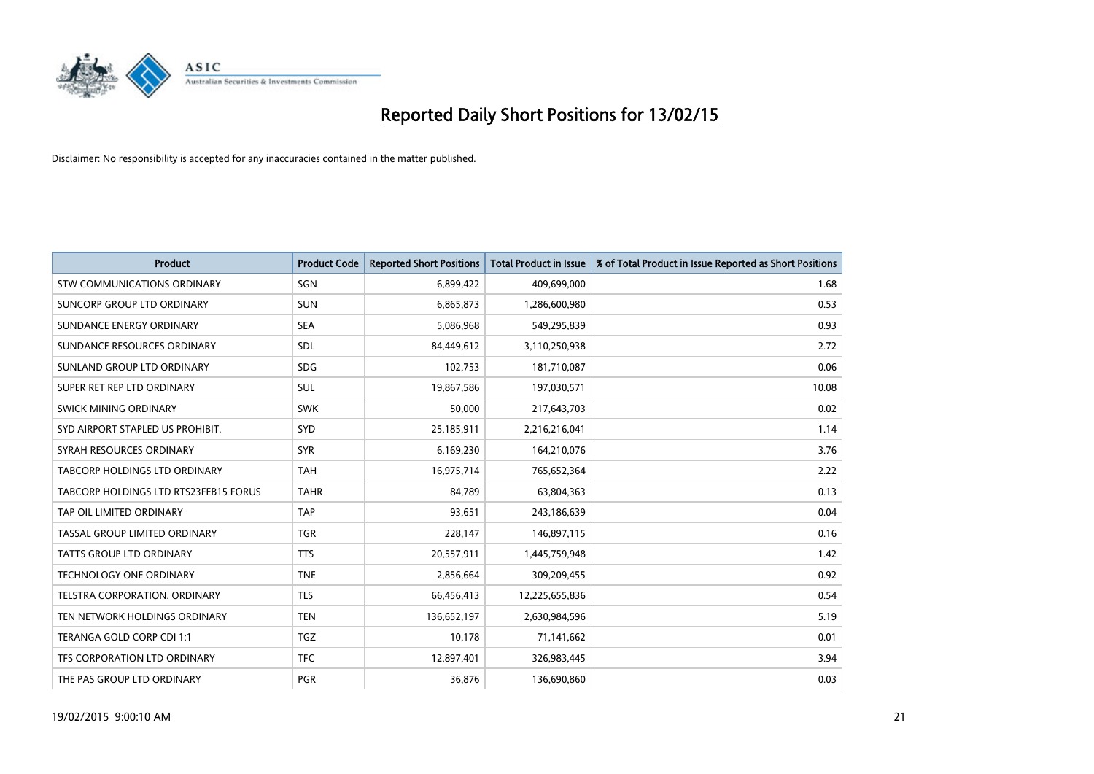

| <b>Product</b>                        | <b>Product Code</b> | <b>Reported Short Positions</b> | <b>Total Product in Issue</b> | % of Total Product in Issue Reported as Short Positions |
|---------------------------------------|---------------------|---------------------------------|-------------------------------|---------------------------------------------------------|
| <b>STW COMMUNICATIONS ORDINARY</b>    | SGN                 | 6,899,422                       | 409,699,000                   | 1.68                                                    |
| SUNCORP GROUP LTD ORDINARY            | <b>SUN</b>          | 6,865,873                       | 1,286,600,980                 | 0.53                                                    |
| SUNDANCE ENERGY ORDINARY              | <b>SEA</b>          | 5,086,968                       | 549,295,839                   | 0.93                                                    |
| SUNDANCE RESOURCES ORDINARY           | <b>SDL</b>          | 84,449,612                      | 3,110,250,938                 | 2.72                                                    |
| SUNLAND GROUP LTD ORDINARY            | <b>SDG</b>          | 102,753                         | 181,710,087                   | 0.06                                                    |
| SUPER RET REP LTD ORDINARY            | <b>SUL</b>          | 19,867,586                      | 197,030,571                   | 10.08                                                   |
| SWICK MINING ORDINARY                 | <b>SWK</b>          | 50,000                          | 217,643,703                   | 0.02                                                    |
| SYD AIRPORT STAPLED US PROHIBIT.      | <b>SYD</b>          | 25,185,911                      | 2,216,216,041                 | 1.14                                                    |
| SYRAH RESOURCES ORDINARY              | <b>SYR</b>          | 6,169,230                       | 164,210,076                   | 3.76                                                    |
| TABCORP HOLDINGS LTD ORDINARY         | <b>TAH</b>          | 16,975,714                      | 765,652,364                   | 2.22                                                    |
| TABCORP HOLDINGS LTD RTS23FEB15 FORUS | <b>TAHR</b>         | 84,789                          | 63,804,363                    | 0.13                                                    |
| TAP OIL LIMITED ORDINARY              | <b>TAP</b>          | 93,651                          | 243,186,639                   | 0.04                                                    |
| TASSAL GROUP LIMITED ORDINARY         | <b>TGR</b>          | 228,147                         | 146,897,115                   | 0.16                                                    |
| <b>TATTS GROUP LTD ORDINARY</b>       | <b>TTS</b>          | 20,557,911                      | 1,445,759,948                 | 1.42                                                    |
| <b>TECHNOLOGY ONE ORDINARY</b>        | <b>TNE</b>          | 2,856,664                       | 309,209,455                   | 0.92                                                    |
| TELSTRA CORPORATION, ORDINARY         | TLS                 | 66,456,413                      | 12,225,655,836                | 0.54                                                    |
| TEN NETWORK HOLDINGS ORDINARY         | <b>TEN</b>          | 136,652,197                     | 2,630,984,596                 | 5.19                                                    |
| TERANGA GOLD CORP CDI 1:1             | <b>TGZ</b>          | 10,178                          | 71,141,662                    | 0.01                                                    |
| TFS CORPORATION LTD ORDINARY          | <b>TFC</b>          | 12,897,401                      | 326,983,445                   | 3.94                                                    |
| THE PAS GROUP LTD ORDINARY            | <b>PGR</b>          | 36,876                          | 136,690,860                   | 0.03                                                    |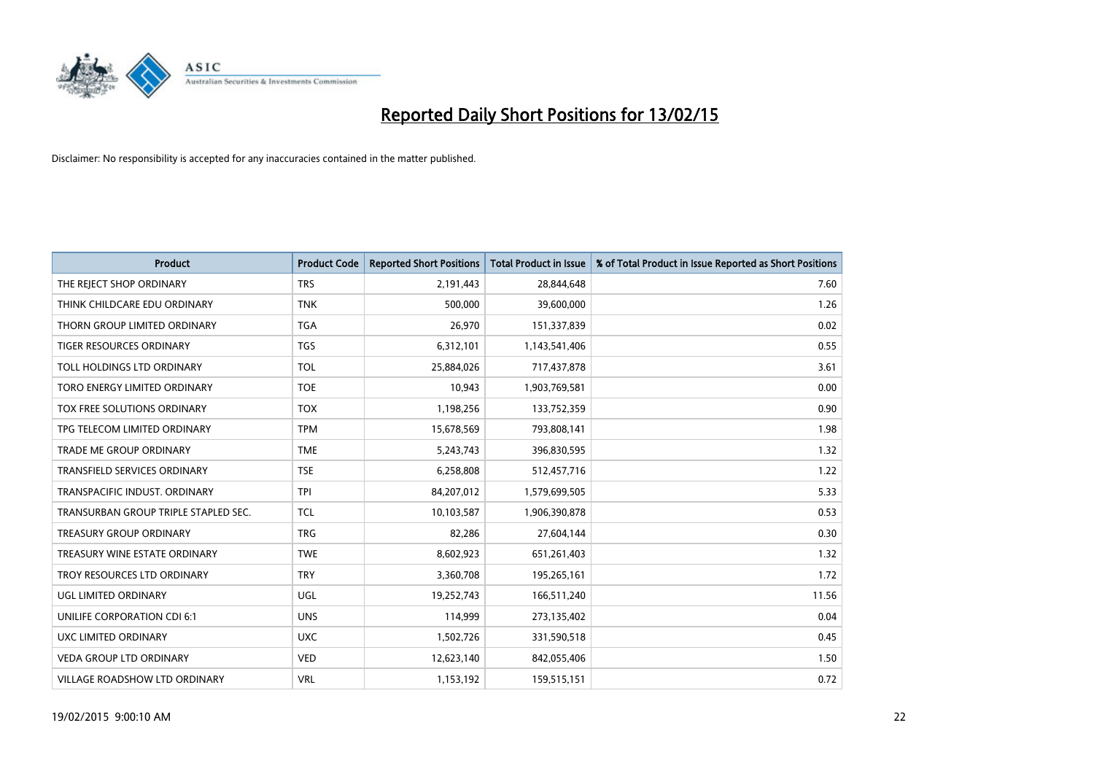

| <b>Product</b>                       | <b>Product Code</b> | <b>Reported Short Positions</b> | <b>Total Product in Issue</b> | % of Total Product in Issue Reported as Short Positions |
|--------------------------------------|---------------------|---------------------------------|-------------------------------|---------------------------------------------------------|
| THE REJECT SHOP ORDINARY             | <b>TRS</b>          | 2,191,443                       | 28,844,648                    | 7.60                                                    |
| THINK CHILDCARE EDU ORDINARY         | <b>TNK</b>          | 500,000                         | 39,600,000                    | 1.26                                                    |
| THORN GROUP LIMITED ORDINARY         | <b>TGA</b>          | 26,970                          | 151,337,839                   | 0.02                                                    |
| TIGER RESOURCES ORDINARY             | <b>TGS</b>          | 6,312,101                       | 1,143,541,406                 | 0.55                                                    |
| TOLL HOLDINGS LTD ORDINARY           | <b>TOL</b>          | 25,884,026                      | 717,437,878                   | 3.61                                                    |
| TORO ENERGY LIMITED ORDINARY         | <b>TOE</b>          | 10,943                          | 1,903,769,581                 | 0.00                                                    |
| TOX FREE SOLUTIONS ORDINARY          | <b>TOX</b>          | 1,198,256                       | 133,752,359                   | 0.90                                                    |
| TPG TELECOM LIMITED ORDINARY         | <b>TPM</b>          | 15,678,569                      | 793,808,141                   | 1.98                                                    |
| <b>TRADE ME GROUP ORDINARY</b>       | <b>TME</b>          | 5,243,743                       | 396,830,595                   | 1.32                                                    |
| <b>TRANSFIELD SERVICES ORDINARY</b>  | <b>TSE</b>          | 6,258,808                       | 512,457,716                   | 1.22                                                    |
| TRANSPACIFIC INDUST. ORDINARY        | <b>TPI</b>          | 84,207,012                      | 1,579,699,505                 | 5.33                                                    |
| TRANSURBAN GROUP TRIPLE STAPLED SEC. | TCL                 | 10,103,587                      | 1,906,390,878                 | 0.53                                                    |
| TREASURY GROUP ORDINARY              | <b>TRG</b>          | 82,286                          | 27,604,144                    | 0.30                                                    |
| TREASURY WINE ESTATE ORDINARY        | <b>TWE</b>          | 8,602,923                       | 651,261,403                   | 1.32                                                    |
| TROY RESOURCES LTD ORDINARY          | <b>TRY</b>          | 3,360,708                       | 195,265,161                   | 1.72                                                    |
| UGL LIMITED ORDINARY                 | UGL                 | 19,252,743                      | 166,511,240                   | 11.56                                                   |
| UNILIFE CORPORATION CDI 6:1          | <b>UNS</b>          | 114,999                         | 273,135,402                   | 0.04                                                    |
| UXC LIMITED ORDINARY                 | <b>UXC</b>          | 1,502,726                       | 331,590,518                   | 0.45                                                    |
| <b>VEDA GROUP LTD ORDINARY</b>       | <b>VED</b>          | 12,623,140                      | 842,055,406                   | 1.50                                                    |
| VILLAGE ROADSHOW LTD ORDINARY        | <b>VRL</b>          | 1,153,192                       | 159,515,151                   | 0.72                                                    |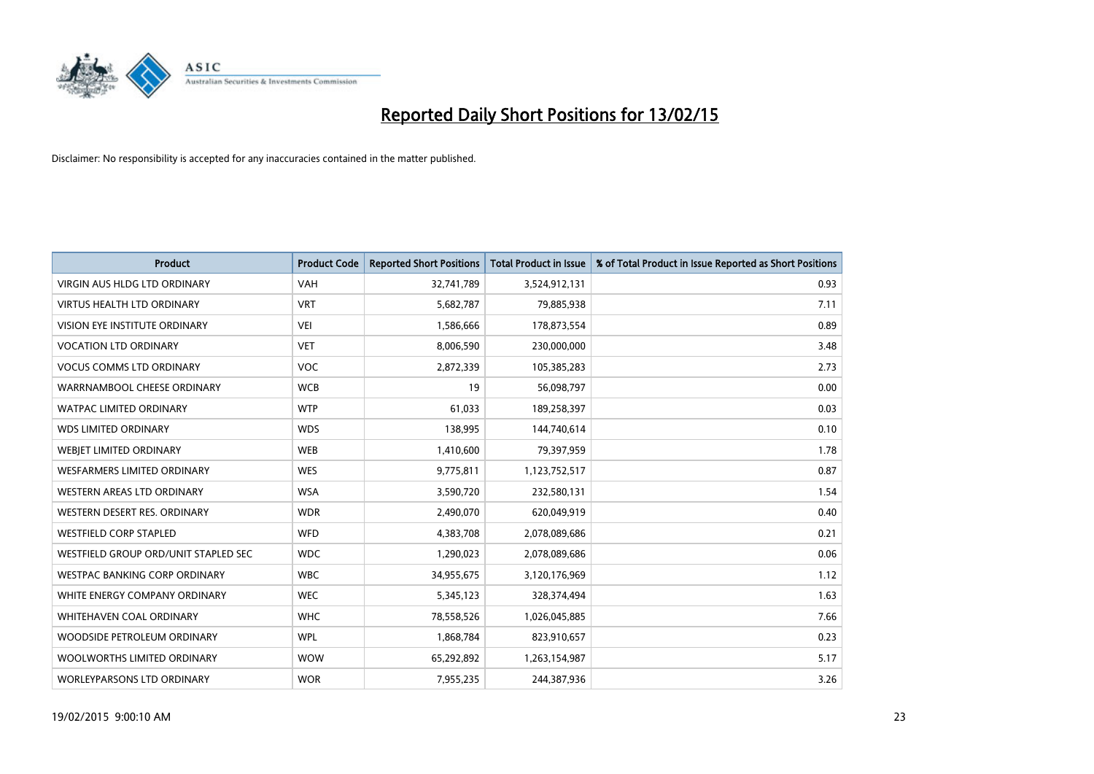

| <b>Product</b>                       | <b>Product Code</b> | <b>Reported Short Positions</b> | <b>Total Product in Issue</b> | % of Total Product in Issue Reported as Short Positions |
|--------------------------------------|---------------------|---------------------------------|-------------------------------|---------------------------------------------------------|
| <b>VIRGIN AUS HLDG LTD ORDINARY</b>  | <b>VAH</b>          | 32,741,789                      | 3,524,912,131                 | 0.93                                                    |
| <b>VIRTUS HEALTH LTD ORDINARY</b>    | <b>VRT</b>          | 5,682,787                       | 79,885,938                    | 7.11                                                    |
| <b>VISION EYE INSTITUTE ORDINARY</b> | <b>VEI</b>          | 1,586,666                       | 178,873,554                   | 0.89                                                    |
| <b>VOCATION LTD ORDINARY</b>         | <b>VET</b>          | 8,006,590                       | 230,000,000                   | 3.48                                                    |
| <b>VOCUS COMMS LTD ORDINARY</b>      | <b>VOC</b>          | 2,872,339                       | 105,385,283                   | 2.73                                                    |
| WARRNAMBOOL CHEESE ORDINARY          | <b>WCB</b>          | 19                              | 56,098,797                    | 0.00                                                    |
| <b>WATPAC LIMITED ORDINARY</b>       | <b>WTP</b>          | 61,033                          | 189,258,397                   | 0.03                                                    |
| <b>WDS LIMITED ORDINARY</b>          | <b>WDS</b>          | 138,995                         | 144,740,614                   | 0.10                                                    |
| WEBIET LIMITED ORDINARY              | <b>WEB</b>          | 1,410,600                       | 79,397,959                    | 1.78                                                    |
| <b>WESFARMERS LIMITED ORDINARY</b>   | <b>WES</b>          | 9,775,811                       | 1,123,752,517                 | 0.87                                                    |
| WESTERN AREAS LTD ORDINARY           | <b>WSA</b>          | 3,590,720                       | 232,580,131                   | 1.54                                                    |
| WESTERN DESERT RES. ORDINARY         | <b>WDR</b>          | 2,490,070                       | 620,049,919                   | 0.40                                                    |
| <b>WESTFIELD CORP STAPLED</b>        | <b>WFD</b>          | 4,383,708                       | 2,078,089,686                 | 0.21                                                    |
| WESTFIELD GROUP ORD/UNIT STAPLED SEC | <b>WDC</b>          | 1,290,023                       | 2,078,089,686                 | 0.06                                                    |
| <b>WESTPAC BANKING CORP ORDINARY</b> | <b>WBC</b>          | 34,955,675                      | 3,120,176,969                 | 1.12                                                    |
| WHITE ENERGY COMPANY ORDINARY        | <b>WEC</b>          | 5,345,123                       | 328,374,494                   | 1.63                                                    |
| WHITEHAVEN COAL ORDINARY             | <b>WHC</b>          | 78,558,526                      | 1,026,045,885                 | 7.66                                                    |
| WOODSIDE PETROLEUM ORDINARY          | <b>WPL</b>          | 1,868,784                       | 823,910,657                   | 0.23                                                    |
| WOOLWORTHS LIMITED ORDINARY          | <b>WOW</b>          | 65,292,892                      | 1,263,154,987                 | 5.17                                                    |
| WORLEYPARSONS LTD ORDINARY           | <b>WOR</b>          | 7,955,235                       | 244,387,936                   | 3.26                                                    |